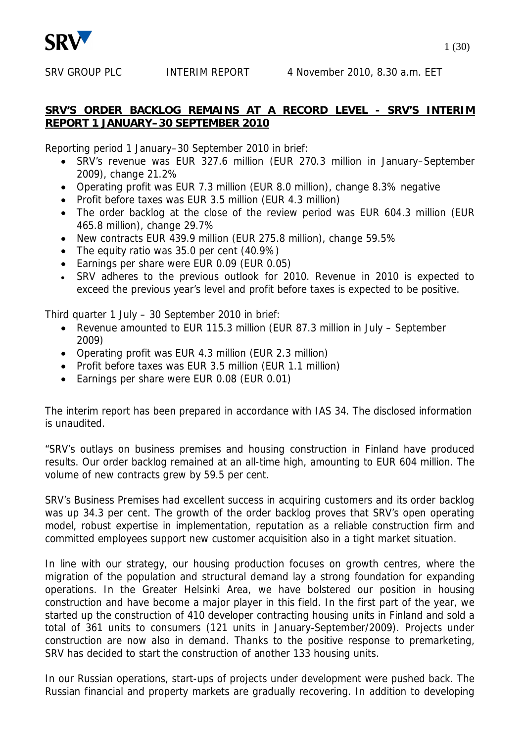

## **SRV'S ORDER BACKLOG REMAINS AT A RECORD LEVEL - SRV'S INTERIM REPORT 1 JANUARY–30 SEPTEMBER 2010**

Reporting period 1 January–30 September 2010 in brief:

- SRV's revenue was EUR 327.6 million (EUR 270.3 million in January–September 2009), change 21.2%
- Operating profit was EUR 7.3 million (EUR 8.0 million), change 8.3% negative
- Profit before taxes was EUR 3.5 million (EUR 4.3 million)
- The order backlog at the close of the review period was EUR 604.3 million (EUR 465.8 million), change 29.7%
- New contracts EUR 439.9 million (EUR 275.8 million), change 59.5%
- $\bullet$  The equity ratio was 35.0 per cent (40.9%)
- Earnings per share were EUR 0.09 (EUR 0.05)
- SRV adheres to the previous outlook for 2010. Revenue in 2010 is expected to exceed the previous year's level and profit before taxes is expected to be positive.

Third quarter 1 July – 30 September 2010 in brief:

- Revenue amounted to EUR 115.3 million (EUR 87.3 million in July September 2009)
- Operating profit was EUR 4.3 million (EUR 2.3 million)
- Profit before taxes was EUR 3.5 million (EUR 1.1 million)
- Earnings per share were EUR 0.08 (EUR 0.01)

The interim report has been prepared in accordance with IAS 34. The disclosed information is unaudited.

"SRV's outlays on business premises and housing construction in Finland have produced results. Our order backlog remained at an all-time high, amounting to EUR 604 million. The volume of new contracts grew by 59.5 per cent.

SRV's Business Premises had excellent success in acquiring customers and its order backlog was up 34.3 per cent. The growth of the order backlog proves that SRV's open operating model, robust expertise in implementation, reputation as a reliable construction firm and committed employees support new customer acquisition also in a tight market situation.

In line with our strategy, our housing production focuses on growth centres, where the migration of the population and structural demand lay a strong foundation for expanding operations. In the Greater Helsinki Area, we have bolstered our position in housing construction and have become a major player in this field. In the first part of the year, we started up the construction of 410 developer contracting housing units in Finland and sold a total of 361 units to consumers (121 units in January-September/2009). Projects under construction are now also in demand. Thanks to the positive response to premarketing, SRV has decided to start the construction of another 133 housing units.

In our Russian operations, start-ups of projects under development were pushed back. The Russian financial and property markets are gradually recovering. In addition to developing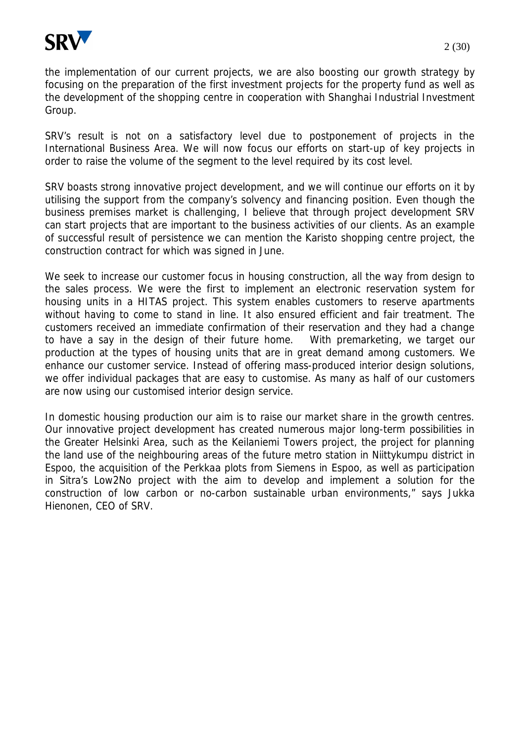

the implementation of our current projects, we are also boosting our growth strategy by focusing on the preparation of the first investment projects for the property fund as well as the development of the shopping centre in cooperation with Shanghai Industrial Investment Group.

SRV's result is not on a satisfactory level due to postponement of projects in the International Business Area. We will now focus our efforts on start-up of key projects in order to raise the volume of the segment to the level required by its cost level.

SRV boasts strong innovative project development, and we will continue our efforts on it by utilising the support from the company's solvency and financing position. Even though the business premises market is challenging, I believe that through project development SRV can start projects that are important to the business activities of our clients. As an example of successful result of persistence we can mention the Karisto shopping centre project, the construction contract for which was signed in June.

We seek to increase our customer focus in housing construction, all the way from design to the sales process. We were the first to implement an electronic reservation system for housing units in a HITAS project. This system enables customers to reserve apartments without having to come to stand in line. It also ensured efficient and fair treatment. The customers received an immediate confirmation of their reservation and they had a change to have a say in the design of their future home. With premarketing, we target our production at the types of housing units that are in great demand among customers. We enhance our customer service. Instead of offering mass-produced interior design solutions, we offer individual packages that are easy to customise. As many as half of our customers are now using our customised interior design service.

In domestic housing production our aim is to raise our market share in the growth centres. Our innovative project development has created numerous major long-term possibilities in the Greater Helsinki Area, such as the Keilaniemi Towers project, the project for planning the land use of the neighbouring areas of the future metro station in Niittykumpu district in Espoo, the acquisition of the Perkkaa plots from Siemens in Espoo, as well as participation in Sitra's Low2No project with the aim to develop and implement a solution for the construction of low carbon or no-carbon sustainable urban environments," says Jukka Hienonen, CEO of SRV.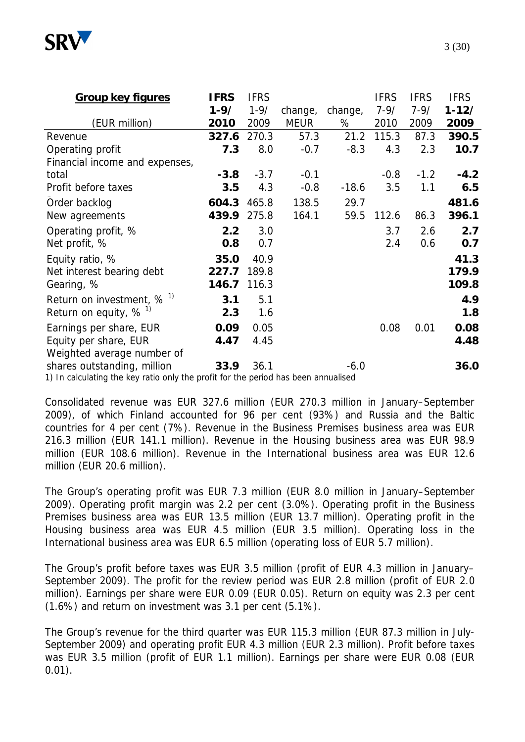

| <b>Group key figures</b>                                                           | <b>IFRS</b> | <b>IFRS</b> |             |         | <b>IFRS</b> | <b>IFRS</b> | <b>IFRS</b> |
|------------------------------------------------------------------------------------|-------------|-------------|-------------|---------|-------------|-------------|-------------|
|                                                                                    | $1 - 9/$    | $1 - 9/$    | change,     | change, | $7 - 9/$    | $7 - 9/$    | $1 - 12/$   |
| (EUR million)                                                                      | 2010        | 2009        | <b>MEUR</b> | %       | 2010        | 2009        | 2009        |
| Revenue                                                                            | 327.6       | 270.3       | 57.3        | 21.2    | 115.3       | 87.3        | 390.5       |
| Operating profit                                                                   | 7.3         | 8.0         | $-0.7$      | $-8.3$  | 4.3         | 2.3         | 10.7        |
| Financial income and expenses,                                                     |             |             |             |         |             |             |             |
| total                                                                              | $-3.8$      | $-3.7$      | $-0.1$      |         | $-0.8$      | $-1.2$      | $-4.2$      |
| Profit before taxes                                                                | 3.5         | 4.3         | $-0.8$      | $-18.6$ | 3.5         | 1.1         | 6.5         |
| Order backlog                                                                      | 604.3       | 465.8       | 138.5       | 29.7    |             |             | 481.6       |
| New agreements                                                                     | 439.9       | 275.8       | 164.1       | 59.5    | 112.6       | 86.3        | 396.1       |
| Operating profit, %                                                                | 2.2         | 3.0         |             |         | 3.7         | 2.6         | 2.7         |
| Net profit, %                                                                      | 0.8         | 0.7         |             |         | 2.4         | 0.6         | 0.7         |
| Equity ratio, %                                                                    | 35.0        | 40.9        |             |         |             |             | 41.3        |
| Net interest bearing debt                                                          | 227.7       | 189.8       |             |         |             |             | 179.9       |
| Gearing, %                                                                         | 146.7       | 116.3       |             |         |             |             | 109.8       |
| Return on investment, $% ^{1}$                                                     | 3.1         | 5.1         |             |         |             |             | 4.9         |
| Return on equity, $% ^{1}$                                                         | 2.3         | 1.6         |             |         |             |             | 1.8         |
| Earnings per share, EUR                                                            | 0.09        | 0.05        |             |         | 0.08        | 0.01        | 0.08        |
| Equity per share, EUR                                                              | 4.47        | 4.45        |             |         |             |             | 4.48        |
| Weighted average number of                                                         |             |             |             |         |             |             |             |
| shares outstanding, million                                                        | 33.9        | 36.1        |             | $-6.0$  |             |             | 36.0        |
| 1) In calculating the key ratio only the profit for the period has been annualised |             |             |             |         |             |             |             |

1) In calculating the key ratio only the profit for the period has been annualised

Consolidated revenue was EUR 327.6 million (EUR 270.3 million in January–September 2009), of which Finland accounted for 96 per cent (93%) and Russia and the Baltic countries for 4 per cent (7%). Revenue in the Business Premises business area was EUR 216.3 million (EUR 141.1 million). Revenue in the Housing business area was EUR 98.9 million (EUR 108.6 million). Revenue in the International business area was EUR 12.6 million (EUR 20.6 million).

The Group's operating profit was EUR 7.3 million (EUR 8.0 million in January–September 2009). Operating profit margin was 2.2 per cent (3.0%). Operating profit in the Business Premises business area was EUR 13.5 million (EUR 13.7 million). Operating profit in the Housing business area was EUR 4.5 million (EUR 3.5 million). Operating loss in the International business area was EUR 6.5 million (operating loss of EUR 5.7 million).

The Group's profit before taxes was EUR 3.5 million (profit of EUR 4.3 million in January– September 2009). The profit for the review period was EUR 2.8 million (profit of EUR 2.0 million). Earnings per share were EUR 0.09 (EUR 0.05). Return on equity was 2.3 per cent (1.6%) and return on investment was 3.1 per cent (5.1%).

The Group's revenue for the third quarter was EUR 115.3 million (EUR 87.3 million in July-September 2009) and operating profit EUR 4.3 million (EUR 2.3 million). Profit before taxes was EUR 3.5 million (profit of EUR 1.1 million). Earnings per share were EUR 0.08 (EUR 0.01).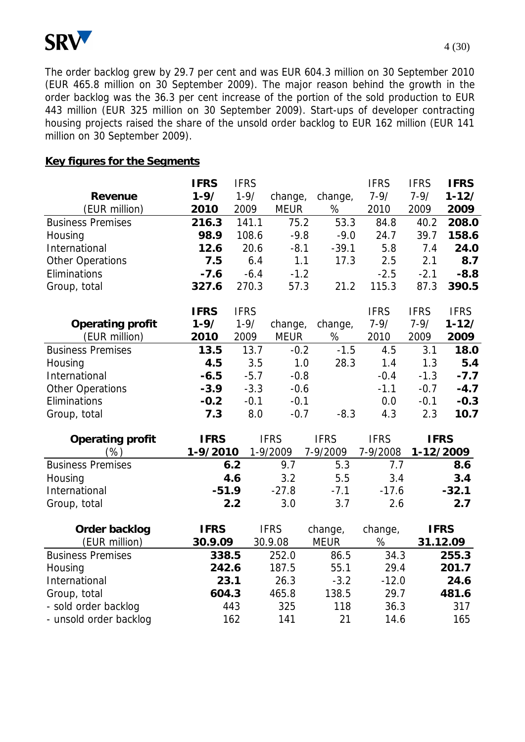

The order backlog grew by 29.7 per cent and was EUR 604.3 million on 30 September 2010 (EUR 465.8 million on 30 September 2009). The major reason behind the growth in the order backlog was the 36.3 per cent increase of the portion of the sold production to EUR 443 million (EUR 325 million on 30 September 2009). Start-ups of developer contracting housing projects raised the share of the unsold order backlog to EUR 162 million (EUR 141 million on 30 September 2009).

#### **Key figures for the Segments**

|                          | <b>IFRS</b> | <b>IFRS</b> |             |             | <b>IFRS</b> | <b>IFRS</b> | <b>IFRS</b> |
|--------------------------|-------------|-------------|-------------|-------------|-------------|-------------|-------------|
| Revenue                  | $1 - 9/$    | $1 - 9/$    | change,     | change,     | $7 - 9/$    | $7 - 9/$    | $1 - 12/$   |
| (EUR million)            | 2010        | 2009        | <b>MEUR</b> | $\%$        | 2010        | 2009        | 2009        |
| <b>Business Premises</b> | 216.3       | 141.1       | 75.2        | 53.3        | 84.8        | 40.2        | 208.0       |
| Housing                  | 98.9        | 108.6       | $-9.8$      | $-9.0$      | 24.7        | 39.7        | 158.6       |
| International            | 12.6        | 20.6        | $-8.1$      | $-39.1$     | 5.8         | 7.4         | 24.0        |
| <b>Other Operations</b>  | 7.5         | 6.4         | 1.1         | 17.3        | 2.5         | 2.1         | 8.7         |
| Eliminations             | $-7.6$      | $-6.4$      | $-1.2$      |             | $-2.5$      | $-2.1$      | $-8.8$      |
| Group, total             | 327.6       | 270.3       | 57.3        | 21.2        | 115.3       | 87.3        | 390.5       |
|                          | <b>IFRS</b> | <b>IFRS</b> |             |             | <b>IFRS</b> | <b>IFRS</b> | <b>IFRS</b> |
| Operating profit         | $1 - 9/$    | $1 - 9/$    | change,     | change,     | $7 - 9/$    | $7 - 9/$    | $1 - 12/$   |
| (EUR million)            | 2010        | 2009        | <b>MEUR</b> | $\%$        | 2010        | 2009        | 2009        |
| <b>Business Premises</b> | 13.5        | 13.7        | $-0.2$      | $-1.5$      | 4.5         | 3.1         | 18.0        |
| Housing                  | 4.5         | 3.5         | 1.0         | 28.3        | 1.4         | 1.3         | 5.4         |
| International            | $-6.5$      | $-5.7$      | $-0.8$      |             | $-0.4$      | $-1.3$      | $-7.7$      |
| <b>Other Operations</b>  | $-3.9$      | $-3.3$      | $-0.6$      |             | $-1.1$      | $-0.7$      | $-4.7$      |
| Eliminations             | $-0.2$      | $-0.1$      | $-0.1$      |             | 0.0         | $-0.1$      | $-0.3$      |
| Group, total             | 7.3         | 8.0         | $-0.7$      | $-8.3$      | 4.3         | 2.3         | 10.7        |
| Operating profit         | <b>IFRS</b> |             | <b>IFRS</b> | <b>IFRS</b> | <b>IFRS</b> | <b>IFRS</b> |             |
| $(\%)$                   | 1-9/2010    |             | 1-9/2009    | 7-9/2009    | 7-9/2008    |             | 1-12/2009   |
| <b>Business Premises</b> |             | 6.2         | 9.7         | 5.3         | 7.7         |             | 8.6         |
| Housing                  |             | 4.6         | 3.2         | 5.5         | 3.4         |             | 3.4         |
| International            | $-51.9$     |             | $-27.8$     | $-7.1$      | $-17.6$     |             | $-32.1$     |
| Group, total             |             | 2.2         | 3.0         | 3.7         | 2.6         |             | 2.7         |
| Order backlog            | <b>IFRS</b> |             | <b>IFRS</b> | change,     | change,     |             | <b>IFRS</b> |
| (EUR million)            | 30.9.09     |             | 30.9.08     | <b>MEUR</b> | %           |             | 31.12.09    |
| <b>Business Premises</b> | 338.5       |             | 252.0       | 86.5        | 34.3        |             | 255.3       |
| Housing                  | 242.6       |             | 187.5       | 55.1        | 29.4        |             | 201.7       |
| International            | 23.1        |             | 26.3        | $-3.2$      | $-12.0$     |             | 24.6        |
| Group, total             | 604.3       |             | 465.8       | 138.5       | 29.7        |             | 481.6       |
| - sold order backlog     |             | 443         | 325         | 118         | 36.3        |             | 317         |
| - unsold order backlog   |             | 162         | 141         | 21          | 14.6        |             | 165         |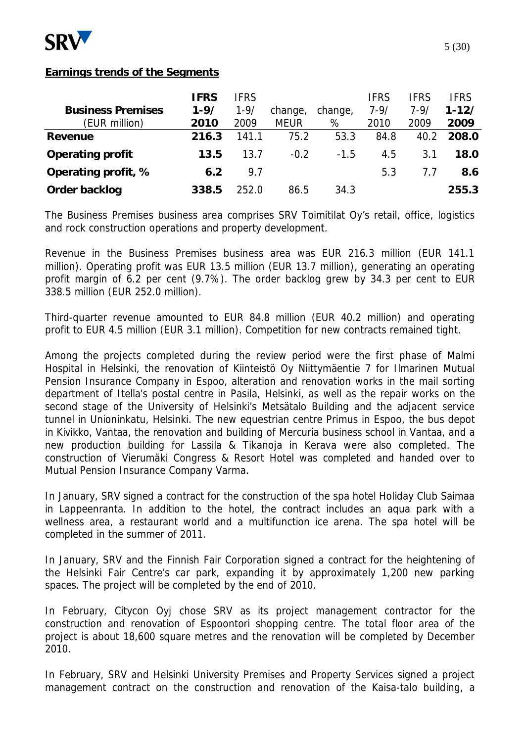

### **Earnings trends of the Segments**

|                          | <b>IFRS</b> | <b>IFRS</b> |             |         | <b>IFRS</b> | <b>IFRS</b> | IFRS      |
|--------------------------|-------------|-------------|-------------|---------|-------------|-------------|-----------|
| <b>Business Premises</b> | $1 - 9/$    | $1 - 9/$    | change,     | change, | $7 - 9/$    | $7 - 9/$    | $1 - 12/$ |
| (EUR million)            | 2010        | 2009        | <b>MEUR</b> | %       | 2010        | 2009        | 2009      |
| Revenue                  | 216.3       | 141.1       | 75.2        | 53.3    | 84.8        | 40.2        | 208.0     |
| Operating profit         | 13.5        | 13.7        | $-0.2$      | $-1.5$  | 4.5         | 3.1         | 18.0      |
| Operating profit, %      | 6.2         | 9.7         |             |         | 5.3         | 7.7         | 8.6       |
| Order backlog            | 338.5       | 252.0       | 86.5        | 34.3    |             |             | 255.3     |

The Business Premises business area comprises SRV Toimitilat Oy's retail, office, logistics and rock construction operations and property development.

Revenue in the Business Premises business area was EUR 216.3 million (EUR 141.1 million). Operating profit was EUR 13.5 million (EUR 13.7 million), generating an operating profit margin of 6.2 per cent (9.7%). The order backlog grew by 34.3 per cent to EUR 338.5 million (EUR 252.0 million).

Third-quarter revenue amounted to EUR 84.8 million (EUR 40.2 million) and operating profit to EUR 4.5 million (EUR 3.1 million). Competition for new contracts remained tight.

Among the projects completed during the review period were the first phase of Malmi Hospital in Helsinki, the renovation of Kiinteistö Oy Niittymäentie 7 for Ilmarinen Mutual Pension Insurance Company in Espoo, alteration and renovation works in the mail sorting department of Itella's postal centre in Pasila, Helsinki, as well as the repair works on the second stage of the University of Helsinki's Metsätalo Building and the adjacent service tunnel in Unioninkatu, Helsinki. The new equestrian centre Primus in Espoo, the bus depot in Kivikko, Vantaa, the renovation and building of Mercuria business school in Vantaa, and a new production building for Lassila & Tikanoja in Kerava were also completed. The construction of Vierumäki Congress & Resort Hotel was completed and handed over to Mutual Pension Insurance Company Varma.

In January, SRV signed a contract for the construction of the spa hotel Holiday Club Saimaa in Lappeenranta. In addition to the hotel, the contract includes an aqua park with a wellness area, a restaurant world and a multifunction ice arena. The spa hotel will be completed in the summer of 2011.

In January, SRV and the Finnish Fair Corporation signed a contract for the heightening of the Helsinki Fair Centre's car park, expanding it by approximately 1,200 new parking spaces. The project will be completed by the end of 2010.

In February, Citycon Oyj chose SRV as its project management contractor for the construction and renovation of Espoontori shopping centre. The total floor area of the project is about 18,600 square metres and the renovation will be completed by December 2010.

In February, SRV and Helsinki University Premises and Property Services signed a project management contract on the construction and renovation of the Kaisa-talo building, a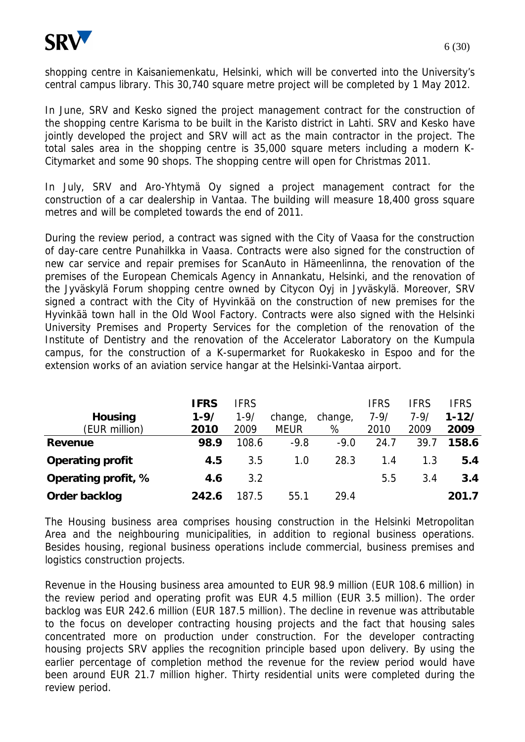

In June, SRV and Kesko signed the project management contract for the construction of the shopping centre Karisma to be built in the Karisto district in Lahti. SRV and Kesko have jointly developed the project and SRV will act as the main contractor in the project. The total sales area in the shopping centre is 35,000 square meters including a modern K-Citymarket and some 90 shops. The shopping centre will open for Christmas 2011.

In July, SRV and Aro-Yhtymä Oy signed a project management contract for the construction of a car dealership in Vantaa. The building will measure 18,400 gross square metres and will be completed towards the end of 2011.

During the review period, a contract was signed with the City of Vaasa for the construction of day-care centre Punahilkka in Vaasa. Contracts were also signed for the construction of new car service and repair premises for ScanAuto in Hämeenlinna, the renovation of the premises of the European Chemicals Agency in Annankatu, Helsinki, and the renovation of the Jyväskylä Forum shopping centre owned by Citycon Oyj in Jyväskylä. Moreover, SRV signed a contract with the City of Hyvinkää on the construction of new premises for the Hyvinkää town hall in the Old Wool Factory. Contracts were also signed with the Helsinki University Premises and Property Services for the completion of the renovation of the Institute of Dentistry and the renovation of the Accelerator Laboratory on the Kumpula campus, for the construction of a K-supermarket for Ruokakesko in Espoo and for the extension works of an aviation service hangar at the Helsinki-Vantaa airport.

|                     | IFRS     | <b>IFRS</b> |             |         | <b>IFRS</b> | IFRS     | <b>IFRS</b> |
|---------------------|----------|-------------|-------------|---------|-------------|----------|-------------|
| Housing             | $1 - 9/$ | $1 - 9/$    | change,     | change, | $7 - 9/$    | $7 - 9/$ | $1 - 12/$   |
| (EUR million)       | 2010     | 2009        | <b>MEUR</b> | %       | 2010        | 2009     | 2009        |
| Revenue             | 98.9     | 108.6       | $-9.8$      | $-9.0$  | 24.7        | 39.7     | 158.6       |
| Operating profit    | 4.5      | 3.5         | 1.0         | 28.3    | 1.4         | 1.3      | 5.4         |
| Operating profit, % | 4.6      | 3.2         |             |         | 5.5         | 3.4      | 3.4         |
| Order backlog       | 242.6    | 187.5       | 55.1        | 29.4    |             |          | 201.7       |

The Housing business area comprises housing construction in the Helsinki Metropolitan Area and the neighbouring municipalities, in addition to regional business operations. Besides housing, regional business operations include commercial, business premises and logistics construction projects.

Revenue in the Housing business area amounted to EUR 98.9 million (EUR 108.6 million) in the review period and operating profit was EUR 4.5 million (EUR 3.5 million). The order backlog was EUR 242.6 million (EUR 187.5 million). The decline in revenue was attributable to the focus on developer contracting housing projects and the fact that housing sales concentrated more on production under construction. For the developer contracting housing projects SRV applies the recognition principle based upon delivery. By using the earlier percentage of completion method the revenue for the review period would have been around EUR 21.7 million higher. Thirty residential units were completed during the review period.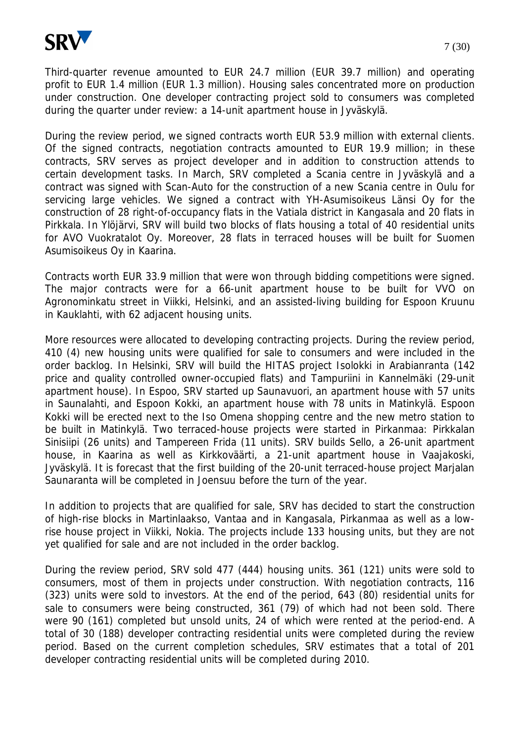

Third-quarter revenue amounted to EUR 24.7 million (EUR 39.7 million) and operating profit to EUR 1.4 million (EUR 1.3 million). Housing sales concentrated more on production under construction. One developer contracting project sold to consumers was completed during the quarter under review: a 14-unit apartment house in Jyväskylä.

During the review period, we signed contracts worth EUR 53.9 million with external clients. Of the signed contracts, negotiation contracts amounted to EUR 19.9 million; in these contracts, SRV serves as project developer and in addition to construction attends to certain development tasks. In March, SRV completed a Scania centre in Jyväskylä and a contract was signed with Scan-Auto for the construction of a new Scania centre in Oulu for servicing large vehicles. We signed a contract with YH-Asumisoikeus Länsi Oy for the construction of 28 right-of-occupancy flats in the Vatiala district in Kangasala and 20 flats in Pirkkala. In Ylöjärvi, SRV will build two blocks of flats housing a total of 40 residential units for AVO Vuokratalot Oy. Moreover, 28 flats in terraced houses will be built for Suomen Asumisoikeus Oy in Kaarina.

Contracts worth EUR 33.9 million that were won through bidding competitions were signed. The major contracts were for a 66-unit apartment house to be built for VVO on Agronominkatu street in Viikki, Helsinki, and an assisted-living building for Espoon Kruunu in Kauklahti, with 62 adjacent housing units.

More resources were allocated to developing contracting projects. During the review period, 410 (4) new housing units were qualified for sale to consumers and were included in the order backlog. In Helsinki, SRV will build the HITAS project Isolokki in Arabianranta (142 price and quality controlled owner-occupied flats) and Tampuriini in Kannelmäki (29-unit apartment house). In Espoo, SRV started up Saunavuori, an apartment house with 57 units in Saunalahti, and Espoon Kokki, an apartment house with 78 units in Matinkylä. Espoon Kokki will be erected next to the Iso Omena shopping centre and the new metro station to be built in Matinkylä. Two terraced-house projects were started in Pirkanmaa: Pirkkalan Sinisiipi (26 units) and Tampereen Frida (11 units). SRV builds Sello, a 26-unit apartment house, in Kaarina as well as Kirkkoväärti, a 21-unit apartment house in Vaajakoski, Jyväskylä. It is forecast that the first building of the 20-unit terraced-house project Marjalan Saunaranta will be completed in Joensuu before the turn of the year.

In addition to projects that are qualified for sale, SRV has decided to start the construction of high-rise blocks in Martinlaakso, Vantaa and in Kangasala, Pirkanmaa as well as a lowrise house project in Viikki, Nokia. The projects include 133 housing units, but they are not yet qualified for sale and are not included in the order backlog.

During the review period, SRV sold 477 (444) housing units. 361 (121) units were sold to consumers, most of them in projects under construction. With negotiation contracts, 116 (323) units were sold to investors. At the end of the period, 643 (80) residential units for sale to consumers were being constructed, 361 (79) of which had not been sold. There were 90 (161) completed but unsold units, 24 of which were rented at the period-end. A total of 30 (188) developer contracting residential units were completed during the review period. Based on the current completion schedules, SRV estimates that a total of 201 developer contracting residential units will be completed during 2010.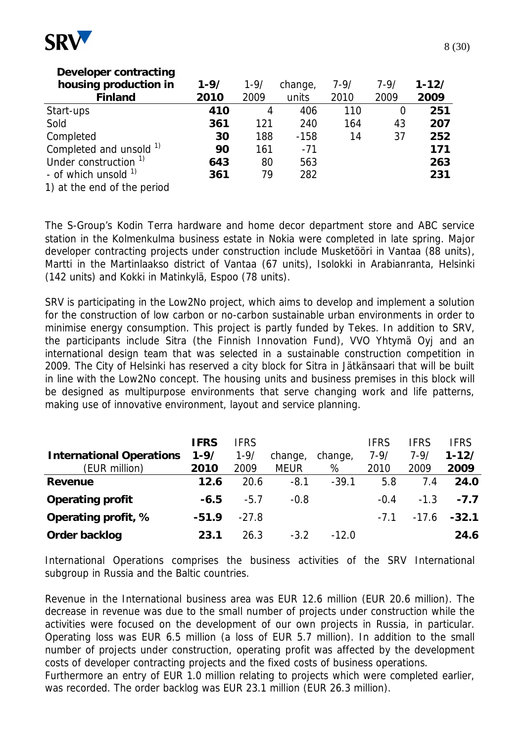

| Developer contracting            |          |          |         |          |          |           |
|----------------------------------|----------|----------|---------|----------|----------|-----------|
| housing production in            | $1 - 9/$ | $1 - 9/$ | change, | $7 - 9/$ | $7 - 9/$ | $1 - 12/$ |
| Finland                          | 2010     | 2009     | units   | 2010     | 2009     | 2009      |
| Start-ups                        | 410      | 4        | 406     | 110      | 0        | 251       |
| Sold                             | 361      | 121      | 240     | 164      | 43       | 207       |
| Completed                        | 30       | 188      | $-158$  | 14       | 37       | 252       |
| Completed and unsold 1)          | 90       | 161      | $-71$   |          |          | 171       |
| Under construction <sup>1)</sup> | 643      | 80       | 563     |          |          | 263       |
| - of which unsold $1$            | 361      | 79       | 282     |          |          | 231       |
| 1) at the end of the period      |          |          |         |          |          |           |

The S-Group's Kodin Terra hardware and home decor department store and ABC service station in the Kolmenkulma business estate in Nokia were completed in late spring. Major developer contracting projects under construction include Musketööri in Vantaa (88 units), Martti in the Martinlaakso district of Vantaa (67 units), Isolokki in Arabianranta, Helsinki (142 units) and Kokki in Matinkylä, Espoo (78 units).

SRV is participating in the Low2No project, which aims to develop and implement a solution for the construction of low carbon or no-carbon sustainable urban environments in order to minimise energy consumption. This project is partly funded by Tekes. In addition to SRV, the participants include Sitra (the Finnish Innovation Fund), VVO Yhtymä Oyj and an international design team that was selected in a sustainable construction competition in 2009. The City of Helsinki has reserved a city block for Sitra in Jätkänsaari that will be built in line with the Low2No concept. The housing units and business premises in this block will be designed as multipurpose environments that serve changing work and life patterns, making use of innovative environment, layout and service planning.

|                                 | <b>IFRS</b> | <b>IFRS</b> |             |         | <b>IFRS</b> | <b>IFRS</b> | <b>IFRS</b>    |
|---------------------------------|-------------|-------------|-------------|---------|-------------|-------------|----------------|
| <b>International Operations</b> | $1 - 9/$    | $1 - 9/$    | change,     | change, | $7 - 9/$    | $7 - 9/$    | $1 - 12/$      |
| (EUR million)                   | 2010        | 2009        | <b>MEUR</b> | %       | 2010        | 2009        | 2009           |
| Revenue                         | 12.6        | 20.6        | $-8.1$      | $-39.1$ | 5.8         | 7.4         | 24.0           |
| Operating profit                | -6.5        | $-5.7$      | $-0.8$      |         | $-0.4$      | $-1.3$      | $-7.7$         |
| Operating profit, %             | $-51.9$     | $-27.8$     |             |         | $-7.1$      |             | $-17.6 - 32.1$ |
| Order backlog                   | 23.1        | 26.3        | $-3.2$      | $-12.0$ |             |             | 24.6           |

International Operations comprises the business activities of the SRV International subgroup in Russia and the Baltic countries.

Revenue in the International business area was EUR 12.6 million (EUR 20.6 million). The decrease in revenue was due to the small number of projects under construction while the activities were focused on the development of our own projects in Russia, in particular. Operating loss was EUR 6.5 million (a loss of EUR 5.7 million). In addition to the small number of projects under construction, operating profit was affected by the development costs of developer contracting projects and the fixed costs of business operations.

Furthermore an entry of EUR 1.0 million relating to projects which were completed earlier, was recorded. The order backlog was EUR 23.1 million (EUR 26.3 million).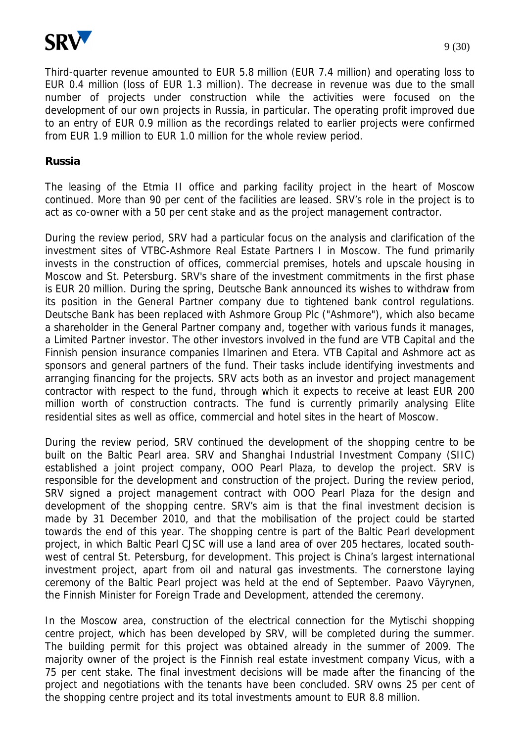

Third-quarter revenue amounted to EUR 5.8 million (EUR 7.4 million) and operating loss to EUR 0.4 million (loss of EUR 1.3 million). The decrease in revenue was due to the small number of projects under construction while the activities were focused on the development of our own projects in Russia, in particular. The operating profit improved due to an entry of EUR 0.9 million as the recordings related to earlier projects were confirmed from EUR 1.9 million to EUR 1.0 million for the whole review period.

#### **Russia**

The leasing of the Etmia II office and parking facility project in the heart of Moscow continued. More than 90 per cent of the facilities are leased. SRV's role in the project is to act as co-owner with a 50 per cent stake and as the project management contractor.

During the review period, SRV had a particular focus on the analysis and clarification of the investment sites of VTBC-Ashmore Real Estate Partners I in Moscow. The fund primarily invests in the construction of offices, commercial premises, hotels and upscale housing in Moscow and St. Petersburg. SRV's share of the investment commitments in the first phase is EUR 20 million. During the spring, Deutsche Bank announced its wishes to withdraw from its position in the General Partner company due to tightened bank control regulations. Deutsche Bank has been replaced with Ashmore Group Plc ("Ashmore"), which also became a shareholder in the General Partner company and, together with various funds it manages, a Limited Partner investor. The other investors involved in the fund are VTB Capital and the Finnish pension insurance companies Ilmarinen and Etera. VTB Capital and Ashmore act as sponsors and general partners of the fund. Their tasks include identifying investments and arranging financing for the projects. SRV acts both as an investor and project management contractor with respect to the fund, through which it expects to receive at least EUR 200 million worth of construction contracts. The fund is currently primarily analysing Elite residential sites as well as office, commercial and hotel sites in the heart of Moscow.

During the review period, SRV continued the development of the shopping centre to be built on the Baltic Pearl area. SRV and Shanghai Industrial Investment Company (SIIC) established a joint project company, OOO Pearl Plaza, to develop the project. SRV is responsible for the development and construction of the project. During the review period, SRV signed a project management contract with OOO Pearl Plaza for the design and development of the shopping centre. SRV's aim is that the final investment decision is made by 31 December 2010, and that the mobilisation of the project could be started towards the end of this year. The shopping centre is part of the Baltic Pearl development project, in which Baltic Pearl CJSC will use a land area of over 205 hectares, located southwest of central St. Petersburg, for development. This project is China's largest international investment project, apart from oil and natural gas investments. The cornerstone laying ceremony of the Baltic Pearl project was held at the end of September. Paavo Väyrynen, the Finnish Minister for Foreign Trade and Development, attended the ceremony.

In the Moscow area, construction of the electrical connection for the Mytischi shopping centre project, which has been developed by SRV, will be completed during the summer. The building permit for this project was obtained already in the summer of 2009. The majority owner of the project is the Finnish real estate investment company Vicus, with a 75 per cent stake. The final investment decisions will be made after the financing of the project and negotiations with the tenants have been concluded. SRV owns 25 per cent of the shopping centre project and its total investments amount to EUR 8.8 million.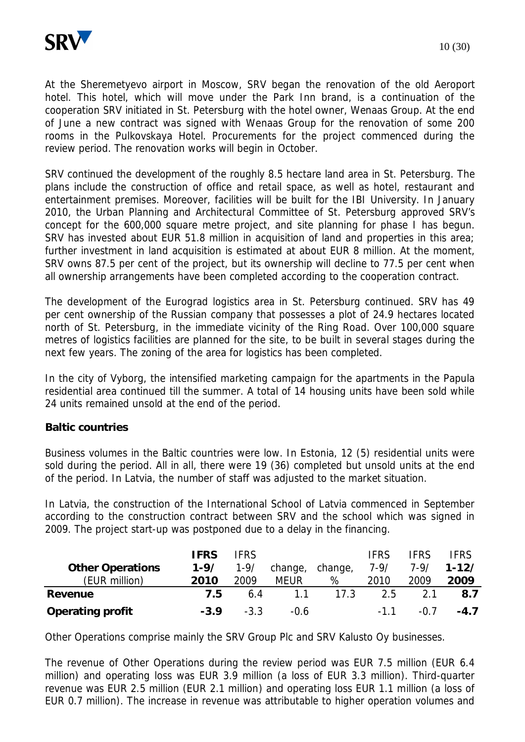

At the Sheremetyevo airport in Moscow, SRV began the renovation of the old Aeroport hotel. This hotel, which will move under the Park Inn brand, is a continuation of the cooperation SRV initiated in St. Petersburg with the hotel owner, Wenaas Group. At the end of June a new contract was signed with Wenaas Group for the renovation of some 200 rooms in the Pulkovskaya Hotel. Procurements for the project commenced during the review period. The renovation works will begin in October.

SRV continued the development of the roughly 8.5 hectare land area in St. Petersburg. The plans include the construction of office and retail space, as well as hotel, restaurant and entertainment premises. Moreover, facilities will be built for the IBI University. In January 2010, the Urban Planning and Architectural Committee of St. Petersburg approved SRV's concept for the 600,000 square metre project, and site planning for phase I has begun. SRV has invested about EUR 51.8 million in acquisition of land and properties in this area; further investment in land acquisition is estimated at about EUR 8 million. At the moment, SRV owns 87.5 per cent of the project, but its ownership will decline to 77.5 per cent when all ownership arrangements have been completed according to the cooperation contract.

The development of the Eurograd logistics area in St. Petersburg continued. SRV has 49 per cent ownership of the Russian company that possesses a plot of 24.9 hectares located north of St. Petersburg, in the immediate vicinity of the Ring Road. Over 100,000 square metres of logistics facilities are planned for the site, to be built in several stages during the next few years. The zoning of the area for logistics has been completed.

In the city of Vyborg, the intensified marketing campaign for the apartments in the Papula residential area continued till the summer. A total of 14 housing units have been sold while 24 units remained unsold at the end of the period.

### **Baltic countries**

Business volumes in the Baltic countries were low. In Estonia, 12 (5) residential units were sold during the period. All in all, there were 19 (36) completed but unsold units at the end of the period. In Latvia, the number of staff was adjusted to the market situation.

In Latvia, the construction of the International School of Latvia commenced in September according to the construction contract between SRV and the school which was signed in 2009. The project start-up was postponed due to a delay in the financing.

| <b>Other Operations</b> | <b>IFRS</b><br>$1 - 9/$ | <b>IFRS</b><br>$1 - 9/$ | change,     | change, | <b>IFRS</b><br>$7 - 9/$ | <b>IFRS</b><br>$7 - 9/$ | <b>FRS</b><br>$1 - 12/$ |
|-------------------------|-------------------------|-------------------------|-------------|---------|-------------------------|-------------------------|-------------------------|
| (EUR million)           | 2010                    | 2009                    | <b>MEUR</b> | %       | 2010                    | 2009                    | 2009                    |
| Revenue                 | 7.5                     | 6.4                     | 11          | 17.3    | 2.5                     | 2.1                     | 8.7                     |
| Operating profit        | $-3.9$                  | $-3.3$                  | $-0.6$      |         | $-11$                   | -0.7                    | $-4.7$                  |

Other Operations comprise mainly the SRV Group Plc and SRV Kalusto Oy businesses.

The revenue of Other Operations during the review period was EUR 7.5 million (EUR 6.4 million) and operating loss was EUR 3.9 million (a loss of EUR 3.3 million). Third-quarter revenue was EUR 2.5 million (EUR 2.1 million) and operating loss EUR 1.1 million (a loss of EUR 0.7 million). The increase in revenue was attributable to higher operation volumes and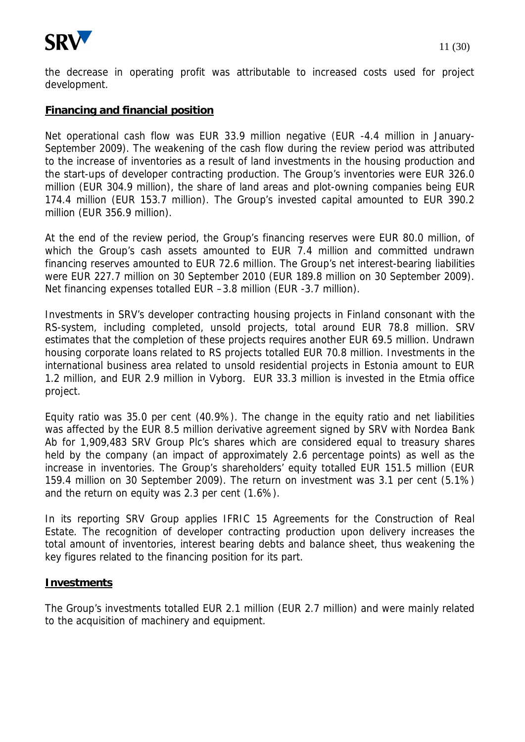

the decrease in operating profit was attributable to increased costs used for project development.

## **Financing and financial position**

Net operational cash flow was EUR 33.9 million negative (EUR -4.4 million in January-September 2009). The weakening of the cash flow during the review period was attributed to the increase of inventories as a result of land investments in the housing production and the start-ups of developer contracting production. The Group's inventories were EUR 326.0 million (EUR 304.9 million), the share of land areas and plot-owning companies being EUR 174.4 million (EUR 153.7 million). The Group's invested capital amounted to EUR 390.2 million (EUR 356.9 million).

At the end of the review period, the Group's financing reserves were EUR 80.0 million, of which the Group's cash assets amounted to EUR 7.4 million and committed undrawn financing reserves amounted to EUR 72.6 million. The Group's net interest-bearing liabilities were EUR 227.7 million on 30 September 2010 (EUR 189.8 million on 30 September 2009). Net financing expenses totalled EUR –3.8 million (EUR -3.7 million).

Investments in SRV's developer contracting housing projects in Finland consonant with the RS-system, including completed, unsold projects, total around EUR 78.8 million. SRV estimates that the completion of these projects requires another EUR 69.5 million. Undrawn housing corporate loans related to RS projects totalled EUR 70.8 million. Investments in the international business area related to unsold residential projects in Estonia amount to EUR 1.2 million, and EUR 2.9 million in Vyborg. EUR 33.3 million is invested in the Etmia office project.

Equity ratio was 35.0 per cent (40.9%). The change in the equity ratio and net liabilities was affected by the EUR 8.5 million derivative agreement signed by SRV with Nordea Bank Ab for 1,909,483 SRV Group Plc's shares which are considered equal to treasury shares held by the company (an impact of approximately 2.6 percentage points) as well as the increase in inventories. The Group's shareholders' equity totalled EUR 151.5 million (EUR 159.4 million on 30 September 2009). The return on investment was 3.1 per cent (5.1%) and the return on equity was 2.3 per cent (1.6%).

In its reporting SRV Group applies IFRIC 15 Agreements for the Construction of Real Estate. The recognition of developer contracting production upon delivery increases the total amount of inventories, interest bearing debts and balance sheet, thus weakening the key figures related to the financing position for its part.

### **Investments**

The Group's investments totalled EUR 2.1 million (EUR 2.7 million) and were mainly related to the acquisition of machinery and equipment.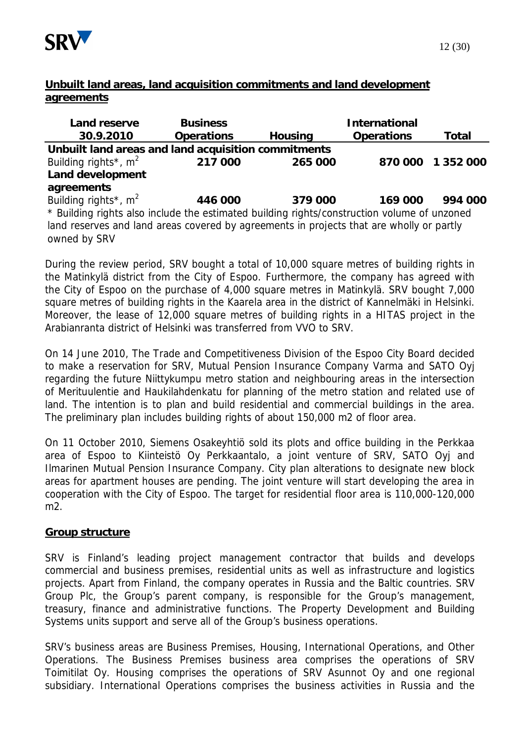

## **Unbuilt land areas, land acquisition commitments and land development agreements**

| Land reserve                                                                                | <b>Business</b> |         | International |               |  |  |  |  |  |
|---------------------------------------------------------------------------------------------|-----------------|---------|---------------|---------------|--|--|--|--|--|
| 30.9.2010                                                                                   | Operations      | Housing | Operations    | Total         |  |  |  |  |  |
| Unbuilt land areas and land acquisition commitments                                         |                 |         |               |               |  |  |  |  |  |
| Building rights <sup>*</sup> , $m^2$                                                        | 217 000         | 265 000 | 870 000       | 1 3 5 2 0 0 0 |  |  |  |  |  |
| Land development                                                                            |                 |         |               |               |  |  |  |  |  |
| agreements                                                                                  |                 |         |               |               |  |  |  |  |  |
| Building rights <sup>*</sup> , $m^2$                                                        | 446 000         | 379 000 | 169 000       | 994 000       |  |  |  |  |  |
| * Building rights also include the estimated building rights/construction volume of unzoned |                 |         |               |               |  |  |  |  |  |
| land reserves and land areas covered by agreements in projects that are wholly or partly    |                 |         |               |               |  |  |  |  |  |
| owned by SRV                                                                                |                 |         |               |               |  |  |  |  |  |

During the review period, SRV bought a total of 10,000 square metres of building rights in the Matinkylä district from the City of Espoo. Furthermore, the company has agreed with the City of Espoo on the purchase of 4,000 square metres in Matinkylä. SRV bought 7,000 square metres of building rights in the Kaarela area in the district of Kannelmäki in Helsinki. Moreover, the lease of 12,000 square metres of building rights in a HITAS project in the Arabianranta district of Helsinki was transferred from VVO to SRV.

On 14 June 2010, The Trade and Competitiveness Division of the Espoo City Board decided to make a reservation for SRV, Mutual Pension Insurance Company Varma and SATO Oyj regarding the future Niittykumpu metro station and neighbouring areas in the intersection of Merituulentie and Haukilahdenkatu for planning of the metro station and related use of land. The intention is to plan and build residential and commercial buildings in the area. The preliminary plan includes building rights of about 150,000 m2 of floor area.

On 11 October 2010, Siemens Osakeyhtiö sold its plots and office building in the Perkkaa area of Espoo to Kiinteistö Oy Perkkaantalo, a joint venture of SRV, SATO Oyj and Ilmarinen Mutual Pension Insurance Company. City plan alterations to designate new block areas for apartment houses are pending. The joint venture will start developing the area in cooperation with the City of Espoo. The target for residential floor area is 110,000-120,000 m2.

### **Group structure**

SRV is Finland's leading project management contractor that builds and develops commercial and business premises, residential units as well as infrastructure and logistics projects. Apart from Finland, the company operates in Russia and the Baltic countries. SRV Group Plc, the Group's parent company, is responsible for the Group's management, treasury, finance and administrative functions. The Property Development and Building Systems units support and serve all of the Group's business operations.

SRV's business areas are Business Premises, Housing, International Operations, and Other Operations. The Business Premises business area comprises the operations of SRV Toimitilat Oy. Housing comprises the operations of SRV Asunnot Oy and one regional subsidiary. International Operations comprises the business activities in Russia and the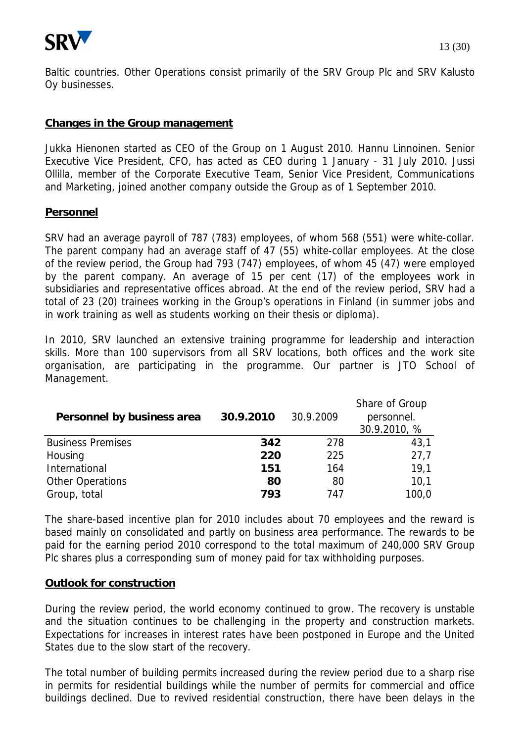

Baltic countries. Other Operations consist primarily of the SRV Group Plc and SRV Kalusto Oy businesses.

### **Changes in the Group management**

Jukka Hienonen started as CEO of the Group on 1 August 2010. Hannu Linnoinen. Senior Executive Vice President, CFO, has acted as CEO during 1 January - 31 July 2010. Jussi Ollilla, member of the Corporate Executive Team, Senior Vice President, Communications and Marketing, joined another company outside the Group as of 1 September 2010.

#### **Personnel**

SRV had an average payroll of 787 (783) employees, of whom 568 (551) were white-collar. The parent company had an average staff of 47 (55) white-collar employees. At the close of the review period, the Group had 793 (747) employees, of whom 45 (47) were employed by the parent company. An average of 15 per cent (17) of the employees work in subsidiaries and representative offices abroad. At the end of the review period, SRV had a total of 23 (20) trainees working in the Group's operations in Finland (in summer jobs and in work training as well as students working on their thesis or diploma).

In 2010, SRV launched an extensive training programme for leadership and interaction skills. More than 100 supervisors from all SRV locations, both offices and the work site organisation, are participating in the programme. Our partner is JTO School of Management.

| Personnel by business area | 30.9.2010 | 30.9.2009 | Share of Group<br>personnel.<br>30.9.2010, % |
|----------------------------|-----------|-----------|----------------------------------------------|
| <b>Business Premises</b>   | 342       | 278       | 43,1                                         |
| Housing                    | 220       | 225       | 27,7                                         |
| International              | 151       | 164       | 19.1                                         |
| Other Operations           | 80        | 80        | 10,1                                         |
| Group, total               | 793       | 747       | 100,0                                        |

The share-based incentive plan for 2010 includes about 70 employees and the reward is based mainly on consolidated and partly on business area performance. The rewards to be paid for the earning period 2010 correspond to the total maximum of 240,000 SRV Group Plc shares plus a corresponding sum of money paid for tax withholding purposes.

#### **Outlook for construction**

During the review period, the world economy continued to grow. The recovery is unstable and the situation continues to be challenging in the property and construction markets. Expectations for increases in interest rates have been postponed in Europe and the United States due to the slow start of the recovery.

The total number of building permits increased during the review period due to a sharp rise in permits for residential buildings while the number of permits for commercial and office buildings declined. Due to revived residential construction, there have been delays in the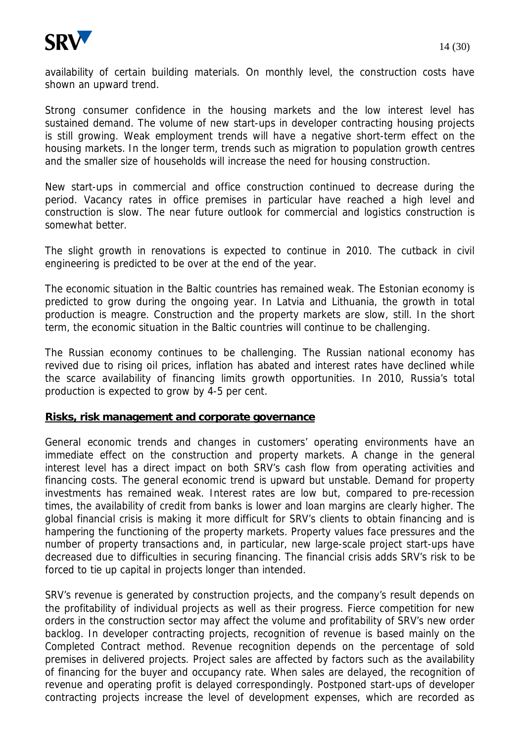

availability of certain building materials. On monthly level, the construction costs have shown an upward trend.

Strong consumer confidence in the housing markets and the low interest level has sustained demand. The volume of new start-ups in developer contracting housing projects is still growing. Weak employment trends will have a negative short-term effect on the housing markets. In the longer term, trends such as migration to population growth centres and the smaller size of households will increase the need for housing construction.

New start-ups in commercial and office construction continued to decrease during the period. Vacancy rates in office premises in particular have reached a high level and construction is slow. The near future outlook for commercial and logistics construction is somewhat better.

The slight growth in renovations is expected to continue in 2010. The cutback in civil engineering is predicted to be over at the end of the year.

The economic situation in the Baltic countries has remained weak. The Estonian economy is predicted to grow during the ongoing year. In Latvia and Lithuania, the growth in total production is meagre. Construction and the property markets are slow, still. In the short term, the economic situation in the Baltic countries will continue to be challenging.

The Russian economy continues to be challenging. The Russian national economy has revived due to rising oil prices, inflation has abated and interest rates have declined while the scarce availability of financing limits growth opportunities. In 2010, Russia's total production is expected to grow by 4-5 per cent.

#### **Risks, risk management and corporate governance**

General economic trends and changes in customers' operating environments have an immediate effect on the construction and property markets. A change in the general interest level has a direct impact on both SRV's cash flow from operating activities and financing costs. The general economic trend is upward but unstable. Demand for property investments has remained weak. Interest rates are low but, compared to pre-recession times, the availability of credit from banks is lower and loan margins are clearly higher. The global financial crisis is making it more difficult for SRV's clients to obtain financing and is hampering the functioning of the property markets. Property values face pressures and the number of property transactions and, in particular, new large-scale project start-ups have decreased due to difficulties in securing financing. The financial crisis adds SRV's risk to be forced to tie up capital in projects longer than intended.

SRV's revenue is generated by construction projects, and the company's result depends on the profitability of individual projects as well as their progress. Fierce competition for new orders in the construction sector may affect the volume and profitability of SRV's new order backlog. In developer contracting projects, recognition of revenue is based mainly on the Completed Contract method. Revenue recognition depends on the percentage of sold premises in delivered projects. Project sales are affected by factors such as the availability of financing for the buyer and occupancy rate. When sales are delayed, the recognition of revenue and operating profit is delayed correspondingly. Postponed start-ups of developer contracting projects increase the level of development expenses, which are recorded as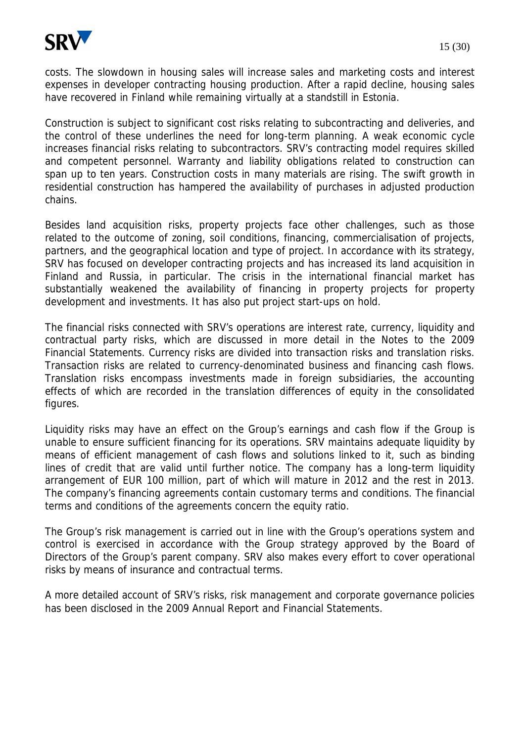

costs. The slowdown in housing sales will increase sales and marketing costs and interest expenses in developer contracting housing production. After a rapid decline, housing sales have recovered in Finland while remaining virtually at a standstill in Estonia.

Construction is subject to significant cost risks relating to subcontracting and deliveries, and the control of these underlines the need for long-term planning. A weak economic cycle increases financial risks relating to subcontractors. SRV's contracting model requires skilled and competent personnel. Warranty and liability obligations related to construction can span up to ten years. Construction costs in many materials are rising. The swift growth in residential construction has hampered the availability of purchases in adjusted production chains.

Besides land acquisition risks, property projects face other challenges, such as those related to the outcome of zoning, soil conditions, financing, commercialisation of projects, partners, and the geographical location and type of project. In accordance with its strategy, SRV has focused on developer contracting projects and has increased its land acquisition in Finland and Russia, in particular. The crisis in the international financial market has substantially weakened the availability of financing in property projects for property development and investments. It has also put project start-ups on hold.

The financial risks connected with SRV's operations are interest rate, currency, liquidity and contractual party risks, which are discussed in more detail in the Notes to the 2009 Financial Statements. Currency risks are divided into transaction risks and translation risks. Transaction risks are related to currency-denominated business and financing cash flows. Translation risks encompass investments made in foreign subsidiaries, the accounting effects of which are recorded in the translation differences of equity in the consolidated figures.

Liquidity risks may have an effect on the Group's earnings and cash flow if the Group is unable to ensure sufficient financing for its operations. SRV maintains adequate liquidity by means of efficient management of cash flows and solutions linked to it, such as binding lines of credit that are valid until further notice. The company has a long-term liquidity arrangement of EUR 100 million, part of which will mature in 2012 and the rest in 2013. The company's financing agreements contain customary terms and conditions. The financial terms and conditions of the agreements concern the equity ratio.

The Group's risk management is carried out in line with the Group's operations system and control is exercised in accordance with the Group strategy approved by the Board of Directors of the Group's parent company. SRV also makes every effort to cover operational risks by means of insurance and contractual terms.

A more detailed account of SRV's risks, risk management and corporate governance policies has been disclosed in the 2009 Annual Report and Financial Statements.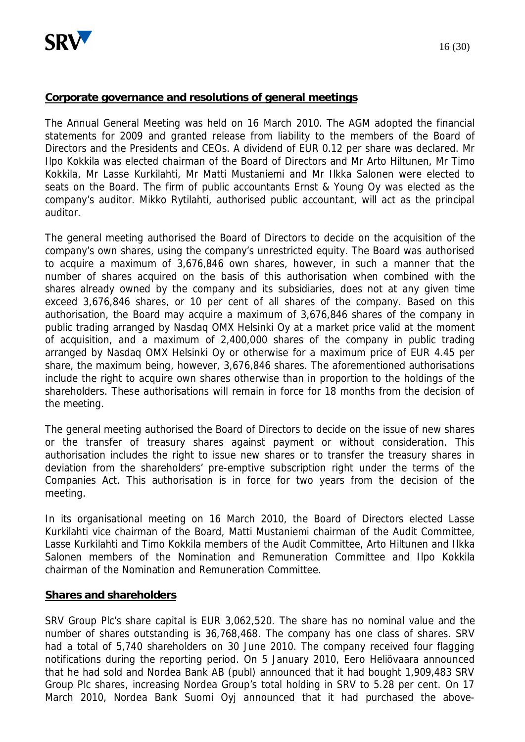

#### **Corporate governance and resolutions of general meetings**

The Annual General Meeting was held on 16 March 2010. The AGM adopted the financial statements for 2009 and granted release from liability to the members of the Board of Directors and the Presidents and CEOs. A dividend of EUR 0.12 per share was declared. Mr Ilpo Kokkila was elected chairman of the Board of Directors and Mr Arto Hiltunen, Mr Timo Kokkila, Mr Lasse Kurkilahti, Mr Matti Mustaniemi and Mr Ilkka Salonen were elected to seats on the Board. The firm of public accountants Ernst & Young Oy was elected as the company's auditor. Mikko Rytilahti, authorised public accountant, will act as the principal auditor.

The general meeting authorised the Board of Directors to decide on the acquisition of the company's own shares, using the company's unrestricted equity. The Board was authorised to acquire a maximum of 3,676,846 own shares, however, in such a manner that the number of shares acquired on the basis of this authorisation when combined with the shares already owned by the company and its subsidiaries, does not at any given time exceed 3,676,846 shares, or 10 per cent of all shares of the company. Based on this authorisation, the Board may acquire a maximum of 3,676,846 shares of the company in public trading arranged by Nasdaq OMX Helsinki Oy at a market price valid at the moment of acquisition, and a maximum of 2,400,000 shares of the company in public trading arranged by Nasdaq OMX Helsinki Oy or otherwise for a maximum price of EUR 4.45 per share, the maximum being, however, 3,676,846 shares. The aforementioned authorisations include the right to acquire own shares otherwise than in proportion to the holdings of the shareholders. These authorisations will remain in force for 18 months from the decision of the meeting.

The general meeting authorised the Board of Directors to decide on the issue of new shares or the transfer of treasury shares against payment or without consideration. This authorisation includes the right to issue new shares or to transfer the treasury shares in deviation from the shareholders' pre-emptive subscription right under the terms of the Companies Act. This authorisation is in force for two years from the decision of the meeting.

In its organisational meeting on 16 March 2010, the Board of Directors elected Lasse Kurkilahti vice chairman of the Board, Matti Mustaniemi chairman of the Audit Committee, Lasse Kurkilahti and Timo Kokkila members of the Audit Committee, Arto Hiltunen and Ilkka Salonen members of the Nomination and Remuneration Committee and Ilpo Kokkila chairman of the Nomination and Remuneration Committee.

#### **Shares and shareholders**

SRV Group Plc's share capital is EUR 3,062,520. The share has no nominal value and the number of shares outstanding is 36,768,468. The company has one class of shares. SRV had a total of 5,740 shareholders on 30 June 2010. The company received four flagging notifications during the reporting period. On 5 January 2010, Eero Heliövaara announced that he had sold and Nordea Bank AB (publ) announced that it had bought 1,909,483 SRV Group Plc shares, increasing Nordea Group's total holding in SRV to 5.28 per cent. On 17 March 2010, Nordea Bank Suomi Oyj announced that it had purchased the above-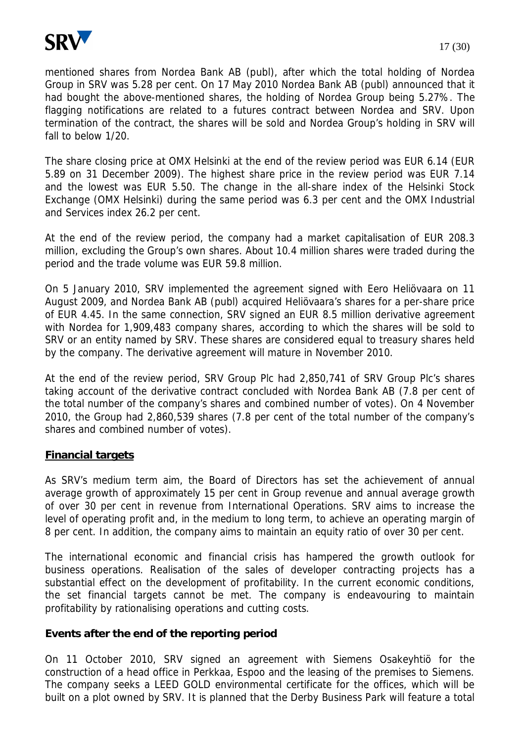

mentioned shares from Nordea Bank AB (publ), after which the total holding of Nordea Group in SRV was 5.28 per cent. On 17 May 2010 Nordea Bank AB (publ) announced that it had bought the above-mentioned shares, the holding of Nordea Group being 5.27%. The flagging notifications are related to a futures contract between Nordea and SRV. Upon termination of the contract, the shares will be sold and Nordea Group's holding in SRV will fall to below 1/20.

The share closing price at OMX Helsinki at the end of the review period was EUR 6.14 (EUR 5.89 on 31 December 2009). The highest share price in the review period was EUR 7.14 and the lowest was EUR 5.50. The change in the all-share index of the Helsinki Stock Exchange (OMX Helsinki) during the same period was 6.3 per cent and the OMX Industrial and Services index 26.2 per cent.

At the end of the review period, the company had a market capitalisation of EUR 208.3 million, excluding the Group's own shares. About 10.4 million shares were traded during the period and the trade volume was EUR 59.8 million.

On 5 January 2010, SRV implemented the agreement signed with Eero Heliövaara on 11 August 2009, and Nordea Bank AB (publ) acquired Heliövaara's shares for a per-share price of EUR 4.45. In the same connection, SRV signed an EUR 8.5 million derivative agreement with Nordea for 1,909,483 company shares, according to which the shares will be sold to SRV or an entity named by SRV. These shares are considered equal to treasury shares held by the company. The derivative agreement will mature in November 2010.

At the end of the review period, SRV Group Plc had 2,850,741 of SRV Group Plc's shares taking account of the derivative contract concluded with Nordea Bank AB (7.8 per cent of the total number of the company's shares and combined number of votes). On 4 November 2010, the Group had 2,860,539 shares (7.8 per cent of the total number of the company's shares and combined number of votes).

### **Financial targets**

As SRV's medium term aim, the Board of Directors has set the achievement of annual average growth of approximately 15 per cent in Group revenue and annual average growth of over 30 per cent in revenue from International Operations. SRV aims to increase the level of operating profit and, in the medium to long term, to achieve an operating margin of 8 per cent. In addition, the company aims to maintain an equity ratio of over 30 per cent.

The international economic and financial crisis has hampered the growth outlook for business operations. Realisation of the sales of developer contracting projects has a substantial effect on the development of profitability. In the current economic conditions, the set financial targets cannot be met. The company is endeavouring to maintain profitability by rationalising operations and cutting costs.

**Events after the end of the reporting period**

On 11 October 2010, SRV signed an agreement with Siemens Osakeyhtiö for the construction of a head office in Perkkaa, Espoo and the leasing of the premises to Siemens. The company seeks a LEED GOLD environmental certificate for the offices, which will be built on a plot owned by SRV. It is planned that the Derby Business Park will feature a total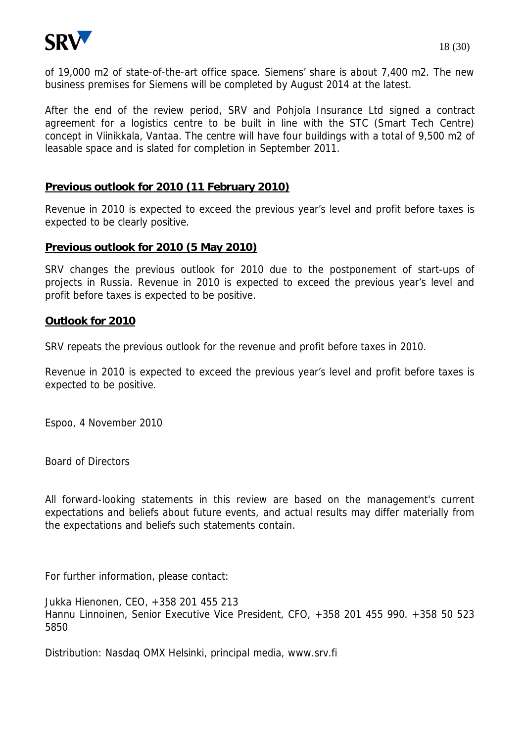

of 19,000 m2 of state-of-the-art office space. Siemens' share is about 7,400 m2. The new business premises for Siemens will be completed by August 2014 at the latest.

After the end of the review period, SRV and Pohjola Insurance Ltd signed a contract agreement for a logistics centre to be built in line with the STC (Smart Tech Centre) concept in Viinikkala, Vantaa. The centre will have four buildings with a total of 9,500 m2 of leasable space and is slated for completion in September 2011.

### **Previous outlook for 2010 (11 February 2010)**

Revenue in 2010 is expected to exceed the previous year's level and profit before taxes is expected to be clearly positive.

#### **Previous outlook for 2010 (5 May 2010)**

SRV changes the previous outlook for 2010 due to the postponement of start-ups of projects in Russia. Revenue in 2010 is expected to exceed the previous year's level and profit before taxes is expected to be positive.

#### **Outlook for 2010**

SRV repeats the previous outlook for the revenue and profit before taxes in 2010.

Revenue in 2010 is expected to exceed the previous year's level and profit before taxes is expected to be positive.

Espoo, 4 November 2010

Board of Directors

All forward-looking statements in this review are based on the management's current expectations and beliefs about future events, and actual results may differ materially from the expectations and beliefs such statements contain.

For further information, please contact:

Jukka Hienonen, CEO, +358 201 455 213 Hannu Linnoinen, Senior Executive Vice President, CFO, +358 201 455 990. +358 50 523 5850

Distribution: Nasdaq OMX Helsinki, principal media, www.srv.fi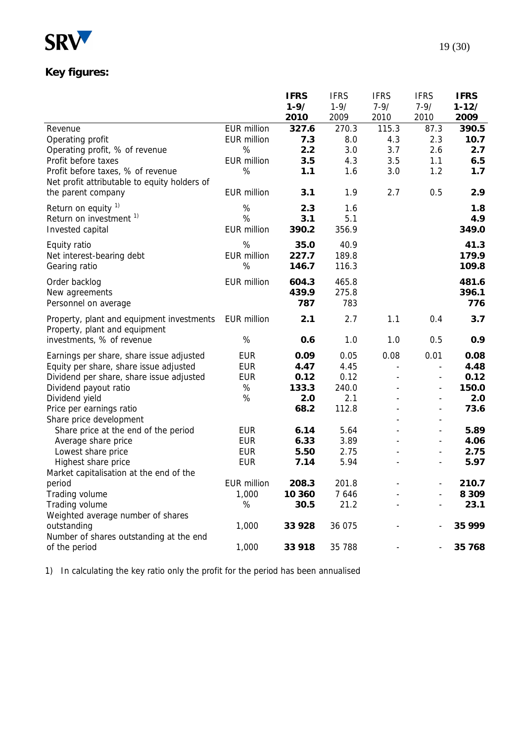

# **Key figures:**

|                                              |                    | <b>IFRS</b> | <b>IFRS</b> | <b>IFRS</b>              | <b>IFRS</b>                  | <b>IFRS</b> |
|----------------------------------------------|--------------------|-------------|-------------|--------------------------|------------------------------|-------------|
|                                              |                    | $1 - 9/$    | $1 - 9/$    | $7 - 9/$                 | $7 - 9/$                     | $1 - 12/$   |
|                                              |                    | 2010        | 2009        | 2010                     | 2010                         | 2009        |
| Revenue                                      | <b>EUR million</b> | 327.6       | 270.3       | 115.3                    | 87.3                         | 390.5       |
| Operating profit                             | <b>EUR million</b> | 7.3         | 8.0         | 4.3                      | 2.3                          | 10.7        |
| Operating profit, % of revenue               | %                  | 2.2         | 3.0         | 3.7                      | 2.6                          | 2.7         |
| Profit before taxes                          | <b>EUR million</b> | 3.5         | 4.3         | 3.5                      | 1.1                          | 6.5         |
| Profit before taxes, % of revenue            | %                  | 1.1         | 1.6         | 3.0                      | 1.2                          | 1.7         |
| Net profit attributable to equity holders of |                    |             |             |                          |                              |             |
| the parent company                           | <b>EUR million</b> | 3.1         | 1.9         | 2.7                      | 0.5                          | 2.9         |
| Return on equity <sup>1)</sup>               | $\%$               | 2.3         | 1.6         |                          |                              | 1.8         |
| Return on investment <sup>1)</sup>           | %                  | 3.1         | 5.1         |                          |                              | 4.9         |
| Invested capital                             | <b>EUR million</b> | 390.2       | 356.9       |                          |                              | 349.0       |
| Equity ratio                                 | %                  | 35.0        | 40.9        |                          |                              | 41.3        |
| Net interest-bearing debt                    | <b>EUR million</b> | 227.7       | 189.8       |                          |                              | 179.9       |
| Gearing ratio                                | %                  | 146.7       | 116.3       |                          |                              | 109.8       |
|                                              |                    |             |             |                          |                              |             |
| Order backlog                                | <b>EUR million</b> | 604.3       | 465.8       |                          |                              | 481.6       |
| New agreements                               |                    | 439.9       | 275.8       |                          |                              | 396.1       |
| Personnel on average                         |                    | 787         | 783         |                          |                              | 776         |
| Property, plant and equipment investments    | <b>EUR million</b> | 2.1         | 2.7         | 1.1                      | 0.4                          | 3.7         |
| Property, plant and equipment                |                    |             |             |                          |                              |             |
| investments, % of revenue                    | $\%$               | 0.6         | 1.0         | 1.0                      | 0.5                          | 0.9         |
| Earnings per share, share issue adjusted     | <b>EUR</b>         | 0.09        | 0.05        | 0.08                     | 0.01                         | 0.08        |
| Equity per share, share issue adjusted       | <b>EUR</b>         | 4.47        | 4.45        | $\overline{\phantom{a}}$ | $\overline{\phantom{a}}$     | 4.48        |
| Dividend per share, share issue adjusted     | <b>EUR</b>         | 0.12        | 0.12        | $\overline{a}$           | $\overline{\phantom{a}}$     | 0.12        |
| Dividend payout ratio                        | %                  | 133.3       | 240.0       |                          | $\overline{\phantom{a}}$     | 150.0       |
| Dividend yield                               | $\%$               | 2.0         | 2.1         |                          | $\overline{\phantom{a}}$     | 2.0         |
| Price per earnings ratio                     |                    | 68.2        | 112.8       |                          | $\overline{\phantom{a}}$     | 73.6        |
| Share price development                      |                    |             |             |                          | $\overline{\phantom{a}}$     |             |
| Share price at the end of the period         | <b>EUR</b>         | 6.14        | 5.64        |                          | $\overline{\phantom{a}}$     | 5.89        |
| Average share price                          | <b>EUR</b>         | 6.33        | 3.89        |                          | $\overline{\phantom{a}}$     | 4.06        |
| Lowest share price                           | <b>EUR</b>         | 5.50        | 2.75        |                          | $\overline{\phantom{a}}$     | 2.75        |
| Highest share price                          | <b>EUR</b>         | 7.14        | 5.94        |                          | $\qquad \qquad \blacksquare$ | 5.97        |
| Market capitalisation at the end of the      |                    |             |             |                          |                              |             |
| period                                       | <b>EUR million</b> | 208.3       | 201.8       |                          |                              | 210.7       |
| Trading volume                               | 1,000              | 10 360      | 7 6 4 6     |                          |                              | 8 3 0 9     |
| Trading volume                               | $\%$               | 30.5        | 21.2        |                          |                              | 23.1        |
| Weighted average number of shares            |                    |             |             |                          |                              |             |
| outstanding                                  | 1,000              | 33 928      | 36 075      |                          |                              | 35 999      |
| Number of shares outstanding at the end      |                    |             |             |                          |                              |             |
| of the period                                | 1,000              | 33 918      | 35 788      |                          | $\overline{\phantom{a}}$     | 35 768      |

1) In calculating the key ratio only the profit for the period has been annualised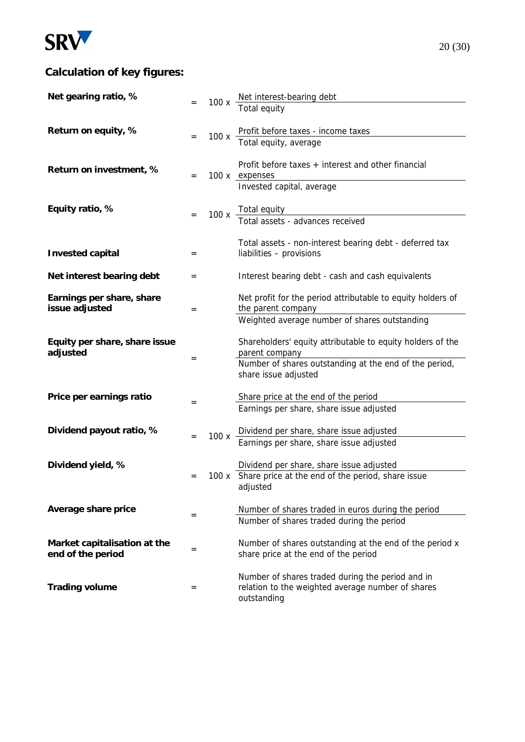

# **Calculation of key figures:**

| Net gearing ratio, %                              |     |      |                                                                                                                      |
|---------------------------------------------------|-----|------|----------------------------------------------------------------------------------------------------------------------|
|                                                   |     |      | 100 x Net interest-bearing debt<br>Total equity                                                                      |
| Return on equity, %                               | $=$ | 100x | Profit before taxes - income taxes<br>Total equity, average                                                          |
|                                                   |     |      |                                                                                                                      |
| Return on investment, %                           | $=$ |      | Profit before taxes $+$ interest and other financial<br>100 x expenses                                               |
|                                                   |     |      | Invested capital, average                                                                                            |
| Equity ratio, %                                   |     |      | 100 x Total equity<br>Total assets - advances received                                                               |
|                                                   |     |      |                                                                                                                      |
| Invested capital                                  | $=$ |      | Total assets - non-interest bearing debt - deferred tax<br>liabilities - provisions                                  |
| Net interest bearing debt                         | $=$ |      | Interest bearing debt - cash and cash equivalents                                                                    |
| Earnings per share, share<br>issue adjusted       | $=$ |      | Net profit for the period attributable to equity holders of<br>the parent company                                    |
|                                                   |     |      | Weighted average number of shares outstanding                                                                        |
| Equity per share, share issue<br>adjusted         |     |      | Shareholders' equity attributable to equity holders of the<br>parent company                                         |
|                                                   | $=$ |      | Number of shares outstanding at the end of the period,<br>share issue adjusted                                       |
| Price per earnings ratio                          |     |      | Share price at the end of the period                                                                                 |
|                                                   | $=$ |      | Earnings per share, share issue adjusted                                                                             |
| Dividend payout ratio, %                          |     | 100x | Dividend per share, share issue adjusted                                                                             |
|                                                   | $=$ |      | Earnings per share, share issue adjusted                                                                             |
| Dividend yield, %                                 |     |      | Dividend per share, share issue adjusted                                                                             |
|                                                   | $=$ |      | 100 x Share price at the end of the period, share issue<br>adjusted                                                  |
| Average share price                               |     |      | Number of shares traded in euros during the period                                                                   |
|                                                   | $=$ |      | Number of shares traded during the period                                                                            |
| Market capitalisation at the<br>end of the period | $=$ |      | Number of shares outstanding at the end of the period x<br>share price at the end of the period                      |
| Trading volume                                    | $=$ |      | Number of shares traded during the period and in<br>relation to the weighted average number of shares<br>outstanding |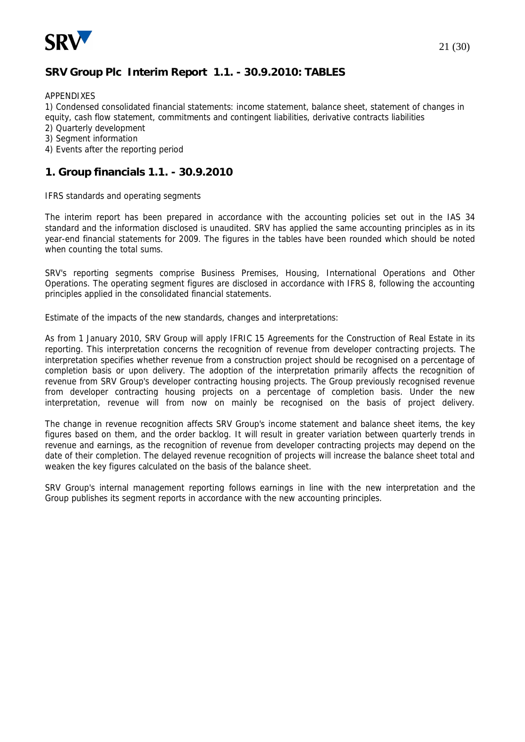

## **SRV Group Plc Interim Report 1.1. - 30.9.2010: TABLES**

#### APPENDIXES

1) Condensed consolidated financial statements: income statement, balance sheet, statement of changes in equity, cash flow statement, commitments and contingent liabilities, derivative contracts liabilities

- 2) Quarterly development
- 3) Segment information
- 4) Events after the reporting period

#### **1. Group financials 1.1. - 30.9.2010**

#### IFRS standards and operating segments

The interim report has been prepared in accordance with the accounting policies set out in the IAS 34 standard and the information disclosed is unaudited. SRV has applied the same accounting principles as in its year-end financial statements for 2009. The figures in the tables have been rounded which should be noted when counting the total sums.

SRV's reporting segments comprise Business Premises, Housing, International Operations and Other Operations. The operating segment figures are disclosed in accordance with IFRS 8, following the accounting principles applied in the consolidated financial statements.

Estimate of the impacts of the new standards, changes and interpretations:

As from 1 January 2010, SRV Group will apply IFRIC 15 Agreements for the Construction of Real Estate in its reporting. This interpretation concerns the recognition of revenue from developer contracting projects. The interpretation specifies whether revenue from a construction project should be recognised on a percentage of completion basis or upon delivery. The adoption of the interpretation primarily affects the recognition of revenue from SRV Group's developer contracting housing projects. The Group previously recognised revenue from developer contracting housing projects on a percentage of completion basis. Under the new interpretation, revenue will from now on mainly be recognised on the basis of project delivery.

The change in revenue recognition affects SRV Group's income statement and balance sheet items, the key figures based on them, and the order backlog. It will result in greater variation between quarterly trends in revenue and earnings, as the recognition of revenue from developer contracting projects may depend on the date of their completion. The delayed revenue recognition of projects will increase the balance sheet total and weaken the key figures calculated on the basis of the balance sheet.

SRV Group's internal management reporting follows earnings in line with the new interpretation and the Group publishes its segment reports in accordance with the new accounting principles.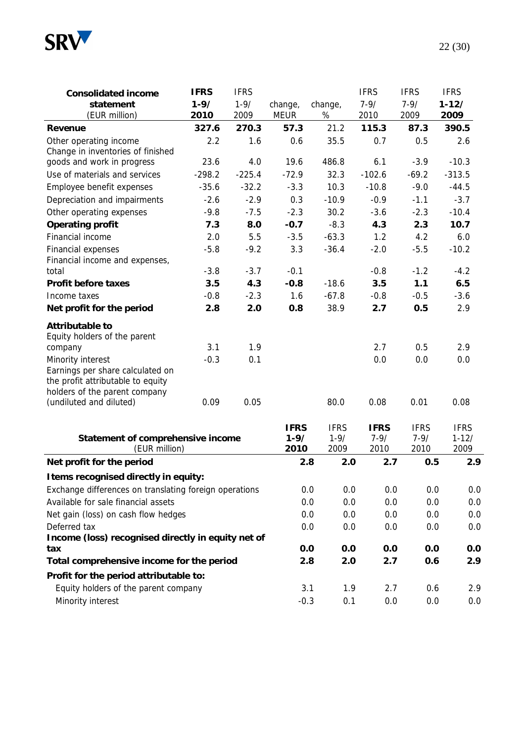

| Consolidated income                                                                                                         | <b>IFRS</b> | <b>IFRS</b> |                                 |                                 | <b>IFRS</b>                     | <b>IFRS</b>                     | <b>IFRS</b>                      |
|-----------------------------------------------------------------------------------------------------------------------------|-------------|-------------|---------------------------------|---------------------------------|---------------------------------|---------------------------------|----------------------------------|
| statement                                                                                                                   | $1 - 9/$    | $1 - 9/$    | change,                         | change,                         | $7 - 9/$                        | $7 - 9/$                        | $1 - 12/$                        |
| (EUR million)                                                                                                               | 2010        | 2009        | <b>MEUR</b>                     | %                               | 2010                            | 2009                            | 2009                             |
| Revenue                                                                                                                     | 327.6       | 270.3       | 57.3                            | 21.2                            | 115.3                           | 87.3                            | 390.5                            |
| Other operating income<br>Change in inventories of finished                                                                 | 2.2         | 1.6         | 0.6                             | 35.5                            | 0.7                             | 0.5                             | 2.6                              |
| goods and work in progress                                                                                                  | 23.6        | 4.0         | 19.6                            | 486.8                           | 6.1                             | $-3.9$                          | $-10.3$                          |
| Use of materials and services                                                                                               | $-298.2$    | $-225.4$    | $-72.9$                         | 32.3                            | $-102.6$                        | $-69.2$                         | $-313.5$                         |
| Employee benefit expenses                                                                                                   | $-35.6$     | $-32.2$     | $-3.3$                          | 10.3                            | $-10.8$                         | $-9.0$                          | $-44.5$                          |
| Depreciation and impairments                                                                                                | $-2.6$      | $-2.9$      | 0.3                             | $-10.9$                         | $-0.9$                          | $-1.1$                          | $-3.7$                           |
| Other operating expenses                                                                                                    | $-9.8$      | $-7.5$      | $-2.3$                          | 30.2                            | $-3.6$                          | $-2.3$                          | $-10.4$                          |
| Operating profit                                                                                                            | 7.3         | 8.0         | $-0.7$                          | $-8.3$                          | 4.3                             | 2.3                             | 10.7                             |
| Financial income                                                                                                            | 2.0         | 5.5         | $-3.5$                          | $-63.3$                         | 1.2                             | 4.2                             | 6.0                              |
| Financial expenses                                                                                                          | $-5.8$      | $-9.2$      | 3.3                             | $-36.4$                         | $-2.0$                          | $-5.5$                          | $-10.2$                          |
| Financial income and expenses,<br>total                                                                                     | $-3.8$      | $-3.7$      | $-0.1$                          |                                 | $-0.8$                          | $-1.2$                          | $-4.2$                           |
| Profit before taxes                                                                                                         | 3.5         | 4.3         | $-0.8$                          | $-18.6$                         | 3.5                             | 1.1                             | 6.5                              |
| Income taxes                                                                                                                | $-0.8$      | $-2.3$      | 1.6                             | $-67.8$                         | $-0.8$                          | $-0.5$                          | $-3.6$                           |
| Net profit for the period                                                                                                   | 2.8         | 2.0         | 0.8                             | 38.9                            | 2.7                             | 0.5                             | 2.9                              |
| Attributable to<br>Equity holders of the parent                                                                             |             |             |                                 |                                 |                                 |                                 |                                  |
| company                                                                                                                     | 3.1         | 1.9         |                                 |                                 | 2.7                             | 0.5                             | 2.9                              |
| Minority interest<br>Earnings per share calculated on<br>the profit attributable to equity<br>holders of the parent company | $-0.3$      | 0.1         |                                 |                                 | 0.0                             | 0.0                             | 0.0                              |
| (undiluted and diluted)                                                                                                     | 0.09        | 0.05        |                                 | 80.0                            | 0.08                            | 0.01                            | 0.08                             |
| Statement of comprehensive income<br>(EUR million)                                                                          |             |             | <b>IFRS</b><br>$1 - 9/$<br>2010 | <b>IFRS</b><br>$1 - 9/$<br>2009 | <b>IFRS</b><br>$7 - 9/$<br>2010 | <b>IFRS</b><br>$7 - 9/$<br>2010 | <b>IFRS</b><br>$1 - 12/$<br>2009 |
| Net profit for the period                                                                                                   |             |             |                                 | 2.8<br>2.0                      | 2.7                             | 0.5                             | 2.9                              |
| I tems recognised directly in equity:                                                                                       |             |             |                                 |                                 |                                 |                                 |                                  |
| Exchange differences on translating foreign operations                                                                      |             |             |                                 | 0.0<br>0.0                      | 0.0                             | 0.0                             | 0. <sub>C</sub>                  |
| Available for sale financial assets                                                                                         |             |             |                                 | 0.0<br>0.0                      | 0.0                             | 0.0                             | 0. <sub>C</sub>                  |
| Net gain (loss) on cash flow hedges                                                                                         |             |             |                                 | 0.0<br>0.0                      | 0.0                             | 0.0                             | 0. <sub>C</sub>                  |
| Deferred tax                                                                                                                |             |             |                                 | 0.0<br>0.0                      | 0.0                             | 0.0                             | 0. <sub>C</sub>                  |
| Income (loss) recognised directly in equity net of                                                                          |             |             |                                 |                                 |                                 |                                 |                                  |
| tax                                                                                                                         |             |             |                                 | 0.0<br>0.0                      | 0.0                             | 0.0                             | 0.0                              |
| Total comprehensive income for the period                                                                                   |             |             |                                 | 2.0<br>2.8                      | 2.7                             | 0.6                             | 2.9                              |
| Profit for the period attributable to:                                                                                      |             |             |                                 |                                 |                                 |                                 |                                  |
| Equity holders of the parent company                                                                                        |             |             |                                 | 3.1<br>1.9                      | 2.7                             | 0.6                             | 2.9                              |
| Minority interest                                                                                                           |             |             | $-0.3$                          | 0.1                             | $0.0\,$                         | 0.0                             | 0.0                              |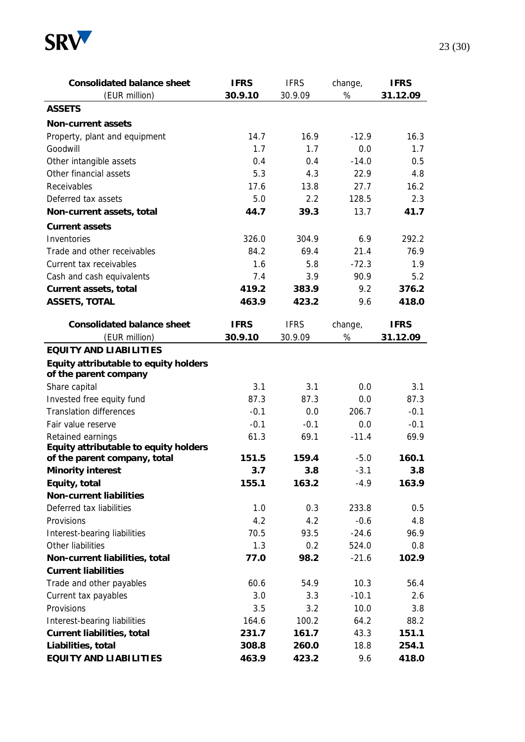

| Consolidated balance sheet                                     | <b>IFRS</b> | <b>IFRS</b> | change, | <b>IFRS</b> |
|----------------------------------------------------------------|-------------|-------------|---------|-------------|
| (EUR million)                                                  | 30.9.10     | 30.9.09     | $\%$    | 31.12.09    |
| <b>ASSETS</b>                                                  |             |             |         |             |
| Non-current assets                                             |             |             |         |             |
| Property, plant and equipment                                  | 14.7        | 16.9        | $-12.9$ | 16.3        |
| Goodwill                                                       | 1.7         | 1.7         | 0.0     | 1.7         |
| Other intangible assets                                        | 0.4         | 0.4         | $-14.0$ | 0.5         |
| Other financial assets                                         | 5.3         | 4.3         | 22.9    | 4.8         |
| Receivables                                                    | 17.6        | 13.8        | 27.7    | 16.2        |
| Deferred tax assets                                            | 5.0         | 2.2         | 128.5   | 2.3         |
| Non-current assets, total                                      | 44.7        | 39.3        | 13.7    | 41.7        |
| Current assets                                                 |             |             |         |             |
| Inventories                                                    | 326.0       | 304.9       | 6.9     | 292.2       |
| Trade and other receivables                                    | 84.2        | 69.4        | 21.4    | 76.9        |
| Current tax receivables                                        | 1.6         | 5.8         | $-72.3$ | 1.9         |
| Cash and cash equivalents                                      | 7.4         | 3.9         | 90.9    | 5.2         |
| Current assets, total                                          | 419.2       | 383.9       | 9.2     | 376.2       |
| ASSETS, TOTAL                                                  | 463.9       | 423.2       | 9.6     | 418.0       |
|                                                                |             |             |         |             |
| Consolidated balance sheet                                     | <b>IFRS</b> | <b>IFRS</b> | change, | <b>IFRS</b> |
| (EUR million)                                                  | 30.9.10     | 30.9.09     | $\%$    | 31.12.09    |
| EQUITY AND LIABILITIES                                         |             |             |         |             |
| Equity attributable to equity holders<br>of the parent company |             |             |         |             |
| Share capital                                                  | 3.1         | 3.1         | 0.0     | 3.1         |
| Invested free equity fund                                      | 87.3        | 87.3        | 0.0     | 87.3        |
| <b>Translation differences</b>                                 | $-0.1$      | 0.0         | 206.7   | $-0.1$      |
| Fair value reserve                                             | $-0.1$      | $-0.1$      | 0.0     | $-0.1$      |
| Retained earnings                                              | 61.3        | 69.1        | $-11.4$ | 69.9        |
| Equity attributable to equity holders                          |             |             |         |             |
| of the parent company, total                                   | 151.5       | 159.4       | $-5.0$  | 160.1       |
| Minority interest                                              | 3.7         | 3.8         | $-3.1$  | 3.8         |
| Equity, total                                                  | 155.1       | 163.2       | $-4.9$  | 163.9       |
| Non-current liabilities                                        |             |             |         |             |
| Deferred tax liabilities                                       | 1.0         | 0.3         | 233.8   | 0.5         |
| Provisions                                                     | 4.2         | 4.2         | $-0.6$  | 4.8         |
| Interest-bearing liabilities                                   | 70.5        | 93.5        | $-24.6$ | 96.9        |
| Other liabilities                                              | 1.3         | 0.2         | 524.0   | 0.8         |
| Non-current liabilities, total                                 | 77.0        | 98.2        | $-21.6$ | 102.9       |
| <b>Current liabilities</b>                                     |             |             |         |             |
| Trade and other payables                                       | 60.6        | 54.9        | 10.3    | 56.4        |
| Current tax payables                                           | 3.0         | 3.3         | $-10.1$ | 2.6         |
| Provisions                                                     | 3.5         | 3.2         | 10.0    | 3.8         |
| Interest-bearing liabilities                                   | 164.6       | 100.2       | 64.2    | 88.2        |
| Current liabilities, total                                     | 231.7       | 161.7       | 43.3    | 151.1       |
| Liabilities, total                                             | 308.8       | 260.0       | 18.8    | 254.1       |
| EQUITY AND LIABILITIES                                         | 463.9       | 423.2       | 9.6     | 418.0       |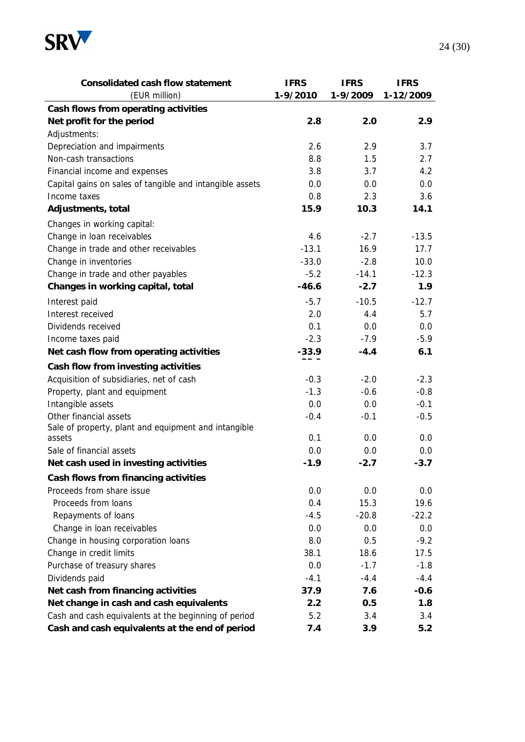

| Consolidated cash flow statement                         | <b>IFRS</b> | <b>IFRS</b> | <b>IFRS</b> |
|----------------------------------------------------------|-------------|-------------|-------------|
| (EUR million)                                            | 1-9/2010    | 1-9/2009    | 1-12/2009   |
| Cash flows from operating activities                     |             |             |             |
| Net profit for the period                                | 2.8         | 2.0         | 2.9         |
| Adjustments:                                             |             |             |             |
| Depreciation and impairments                             | 2.6         | 2.9         | 3.7         |
| Non-cash transactions                                    | 8.8         | 1.5         | 2.7         |
| Financial income and expenses                            | 3.8         | 3.7         | 4.2         |
| Capital gains on sales of tangible and intangible assets | 0.0         | 0.0         | 0.0         |
| Income taxes                                             | 0.8         | 2.3         | 3.6         |
| Adjustments, total                                       | 15.9        | 10.3        | 14.1        |
| Changes in working capital:                              |             |             |             |
| Change in loan receivables                               | 4.6         | $-2.7$      | $-13.5$     |
| Change in trade and other receivables                    | $-13.1$     | 16.9        | 17.7        |
| Change in inventories                                    | $-33.0$     | $-2.8$      | 10.0        |
| Change in trade and other payables                       | $-5.2$      | $-14.1$     | $-12.3$     |
| Changes in working capital, total                        | $-46.6$     | $-2.7$      | 1.9         |
| Interest paid                                            | $-5.7$      | $-10.5$     | $-12.7$     |
| Interest received                                        | 2.0         | 4.4         | 5.7         |
| Dividends received                                       | 0.1         | 0.0         | 0.0         |
| Income taxes paid                                        | $-2.3$      | $-7.9$      | $-5.9$      |
| Net cash flow from operating activities                  | $-33.9$     | $-4.4$      | 6.1         |
| Cash flow from investing activities                      |             |             |             |
| Acquisition of subsidiaries, net of cash                 | $-0.3$      | $-2.0$      | $-2.3$      |
| Property, plant and equipment                            | $-1.3$      | $-0.6$      | $-0.8$      |
| Intangible assets                                        | 0.0         | 0.0         | $-0.1$      |
| Other financial assets                                   | $-0.4$      | $-0.1$      | $-0.5$      |
| Sale of property, plant and equipment and intangible     |             |             |             |
| assets                                                   | 0.1         | 0.0         | 0.0         |
| Sale of financial assets                                 | 0.0         | 0.0         | 0.0         |
| Net cash used in investing activities                    | $-1.9$      | $-2.7$      | $-3.7$      |
| Cash flows from financing activities                     |             |             |             |
| Proceeds from share issue                                | 0.0         | 0.0         | 0.0         |
| Proceeds from loans                                      | 0.4         | 15.3        | 19.6        |
| Repayments of loans                                      | $-4.5$      | $-20.8$     | $-22.2$     |
| Change in loan receivables                               | 0.0         | 0.0         | 0.0         |
| Change in housing corporation loans                      | 8.0         | 0.5         | $-9.2$      |
| Change in credit limits                                  | 38.1        | 18.6        | 17.5        |
| Purchase of treasury shares                              | 0.0         | $-1.7$      | $-1.8$      |
| Dividends paid                                           | $-4.1$      | $-4.4$      | $-4.4$      |
| Net cash from financing activities                       | 37.9        | 7.6         | $-0.6$      |
| Net change in cash and cash equivalents                  | 2.2         | 0.5         | 1.8         |
| Cash and cash equivalents at the beginning of period     | 5.2         | 3.4         | 3.4         |
| Cash and cash equivalents at the end of period           | 7.4         | 3.9         | 5.2         |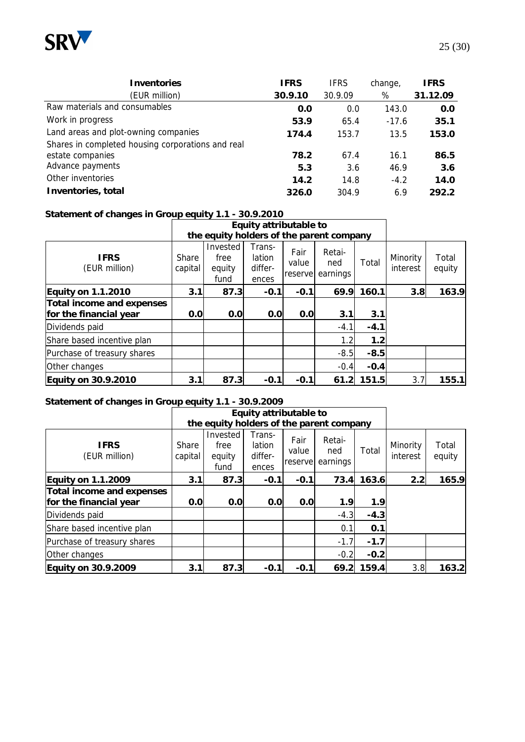

| Inventories<br>(EUR million)                      | IFRS<br>30.9.10 | <b>IFRS</b><br>30.9.09 | change,<br>% | IFRS<br>31.12.09 |
|---------------------------------------------------|-----------------|------------------------|--------------|------------------|
| Raw materials and consumables                     | 0.0             | 0.0                    | 143.0        | 0.0              |
| Work in progress                                  | 53.9            | 65.4                   | $-17.6$      | 35.1             |
| Land areas and plot-owning companies              | 174.4           | 153.7                  | 13.5         | 153.0            |
| Shares in completed housing corporations and real |                 |                        |              |                  |
| estate companies                                  | 78.2            | 67.4                   | 16.1         | 86.5             |
| Advance payments                                  | 5.3             | 3.6                    | 46.9         | 3.6              |
| Other inventories                                 | 14.2            | 14.8                   | $-4.2$       | 14.0             |

**Inventories, total 326.0** 304.9 6.9 **292.2**

#### **Statement of changes in Group equity 1.1 - 30.9.2010**

|                                                     |                  | Equity attributable to                   |                                      |                           |                           |        |                      |                 |
|-----------------------------------------------------|------------------|------------------------------------------|--------------------------------------|---------------------------|---------------------------|--------|----------------------|-----------------|
|                                                     |                  | the equity holders of the parent company |                                      |                           |                           |        |                      |                 |
| <b>IFRS</b><br>(EUR million)                        | Share<br>capital | Invested<br>free<br>equity<br>fund       | Trans-<br>lation<br>differ-<br>ences | Fair<br>value<br>reservel | Retai-<br>ned<br>earnings | Total  | Minority<br>interest | Total<br>equity |
| Equity on 1.1.2010                                  | 3.1              | 87.3                                     | $-0.1$                               | $-0.1$                    | 69.9                      | 160.1  | 3.8                  | 163.9           |
| Total income and expenses<br>for the financial year | 0.0              | 0.0                                      | 0.0                                  | 0.0                       | 3.1                       | 3.1    |                      |                 |
| Dividends paid                                      |                  |                                          |                                      |                           | $-4.1$                    | $-4.1$ |                      |                 |
| Share based incentive plan                          |                  |                                          |                                      |                           | 1.2                       | 1.2    |                      |                 |
| Purchase of treasury shares                         |                  |                                          |                                      |                           | $-8.5$                    | $-8.5$ |                      |                 |
| Other changes                                       |                  |                                          |                                      |                           | $-0.4$                    | $-0.4$ |                      |                 |
| Equity on 30.9.2010                                 | 3.1              | 87.3                                     | $-0.1$                               | $-0.1$                    | 61.2                      | 151.5  | 3.7                  | 155.1           |

#### **Statement of changes in Group equity 1.1 - 30.9.2009**

|                              |                  | Equity attributable to<br>the equity holders of the parent company |                                      |                           |                           |        |                      |                 |
|------------------------------|------------------|--------------------------------------------------------------------|--------------------------------------|---------------------------|---------------------------|--------|----------------------|-----------------|
|                              |                  |                                                                    |                                      |                           |                           |        |                      |                 |
| <b>IFRS</b><br>(EUR million) | Share<br>capital | Invested<br>free<br>equity<br>fund                                 | Trans-<br>lation<br>differ-<br>ences | Fair<br>value<br>reservel | Retai-<br>ned<br>earnings | Total  | Minority<br>interest | Total<br>equity |
| Equity on 1.1.2009           | 3.1              | 87.3                                                               | $-0.1$                               | $-0.1$                    | 73.4                      | 163.6  | 2.2                  | 165.9           |
| Total income and expenses    |                  |                                                                    |                                      |                           |                           |        |                      |                 |
| for the financial year       | 0.0              | 0.0                                                                | 0.0                                  | 0.0                       | 1.9                       | 1.9    |                      |                 |
| Dividends paid               |                  |                                                                    |                                      |                           | $-4.3$                    | $-4.3$ |                      |                 |
| Share based incentive plan   |                  |                                                                    |                                      |                           | 0.1                       | 0.1    |                      |                 |
| Purchase of treasury shares  |                  |                                                                    |                                      |                           | $-1.7$                    | $-1.7$ |                      |                 |
| Other changes                |                  |                                                                    |                                      |                           | $-0.2$                    | $-0.2$ |                      |                 |
| Equity on 30.9.2009          | 3.1              | 87.3                                                               | $-0.1$                               | $-0.1$                    | 69.2                      | 159.4  | 3.8                  | 163.2           |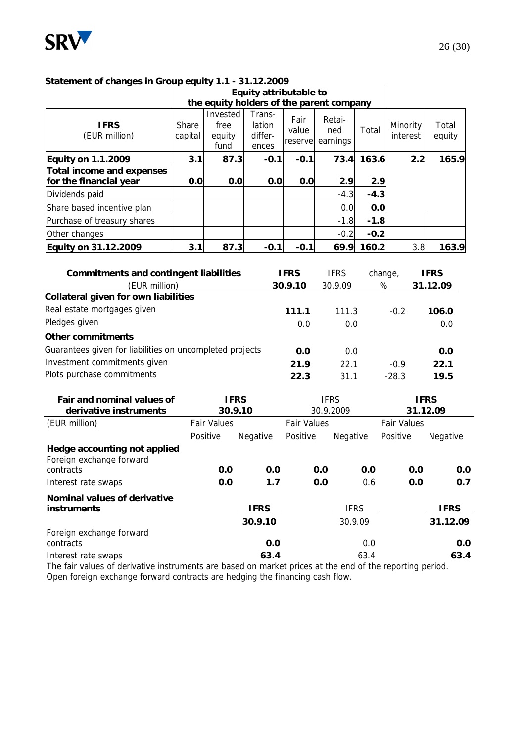

#### **Statement of changes in Group equity 1.1 - 31.12.2009**

|                                                     |                  | Equity attributable to                   |                                      |                           |                           |        |                      |                 |
|-----------------------------------------------------|------------------|------------------------------------------|--------------------------------------|---------------------------|---------------------------|--------|----------------------|-----------------|
|                                                     |                  | the equity holders of the parent company |                                      |                           |                           |        |                      |                 |
| <b>IFRS</b><br>(EUR million)                        | Share<br>capital | Invested<br>free<br>equity<br>fund       | Trans-<br>lation<br>differ-<br>ences | Fair<br>value<br>reservel | Retai-<br>ned<br>earnings | Total  | Minority<br>interest | Total<br>equity |
| Equity on 1.1.2009                                  | 3.1              | 87.3                                     | $-0.1$                               | $-0.1$                    | 73.4                      | 163.6  | 2.2                  | 165.9           |
| Total income and expenses<br>for the financial year | 0.0              | 0.0                                      | 0.0                                  | 0.0                       | 2.9                       | 2.9    |                      |                 |
| Dividends paid                                      |                  |                                          |                                      |                           | $-4.3$                    | $-4.3$ |                      |                 |
| Share based incentive plan                          |                  |                                          |                                      |                           | 0.0                       | 0.0    |                      |                 |
| Purchase of treasury shares                         |                  |                                          |                                      |                           | $-1.8$                    | $-1.8$ |                      |                 |
| Other changes                                       |                  |                                          |                                      |                           | $-0.2$                    | $-0.2$ |                      |                 |
| Equity on 31.12.2009                                | 3.1              | 87.3                                     | $-0.1$                               | $-0.1$                    | 69.9                      | 160.2  | 3.8                  | 163.9           |

| Commitments and contingent liabilities                                                                                         |                    |             | <b>IFRS</b>        | <b>IFRS</b> |      | change,            |             | <b>IFRS</b> |
|--------------------------------------------------------------------------------------------------------------------------------|--------------------|-------------|--------------------|-------------|------|--------------------|-------------|-------------|
| (EUR million)                                                                                                                  |                    |             | 30.9.10            | 30.9.09     |      | $\%$               |             | 31.12.09    |
| Collateral given for own liabilities                                                                                           |                    |             |                    |             |      |                    |             |             |
| Real estate mortgages given                                                                                                    |                    |             | 111.1              | 111.3       |      | $-0.2$             |             | 106.0       |
| Pledges given                                                                                                                  |                    |             | 0.0                | 0.0         |      |                    |             | 0.0         |
| Other commitments                                                                                                              |                    |             |                    |             |      |                    |             |             |
| Guarantees given for liabilities on uncompleted projects                                                                       |                    |             | 0.0                | 0.0         |      |                    |             | 0.0         |
| Investment commitments given                                                                                                   |                    |             | 21.9               | 22.1        |      | $-0.9$             |             | 22.1        |
| Plots purchase commitments                                                                                                     |                    |             | 22.3               | 31.1        |      | $-28.3$            |             | 19.5        |
| Fair and nominal values of                                                                                                     | <b>IFRS</b>        |             |                    | <b>IFRS</b> |      |                    | <b>IFRS</b> |             |
| derivative instruments                                                                                                         |                    | 30.9.10     |                    | 30.9.2009   |      |                    | 31.12.09    |             |
| (EUR million)                                                                                                                  | <b>Fair Values</b> |             | <b>Fair Values</b> |             |      | <b>Fair Values</b> |             |             |
|                                                                                                                                | Positive           | Negative    | Positive           | Negative    |      | Positive           |             | Negative    |
| Hedge accounting not applied<br>Foreign exchange forward                                                                       |                    |             |                    |             |      |                    |             |             |
| contracts                                                                                                                      | 0.0                | 0.0         |                    | 0.0         | 0.0  |                    | 0.0         | 0.0         |
| Interest rate swaps                                                                                                            | 0.0                | 1.7         |                    | 0.0         | 0.6  |                    | 0.0         | 0.7         |
| Nominal values of derivative                                                                                                   |                    |             |                    |             |      |                    |             |             |
| instruments                                                                                                                    |                    | <b>IFRS</b> |                    | <b>IFRS</b> |      |                    |             | <b>IFRS</b> |
|                                                                                                                                |                    | 30.9.10     |                    | 30.9.09     |      |                    |             | 31.12.09    |
| Foreign exchange forward<br>contracts                                                                                          |                    | 0.0         |                    |             | 0.0  |                    |             | 0.0         |
| Interest rate swaps<br>The fair values of derivative instruments are based on market prices at the end of the reporting period |                    | 63.4        |                    |             | 63.4 |                    |             | 63.4        |

The fair values of derivative instruments are based on market prices at the end of the reporting period. Open foreign exchange forward contracts are hedging the financing cash flow.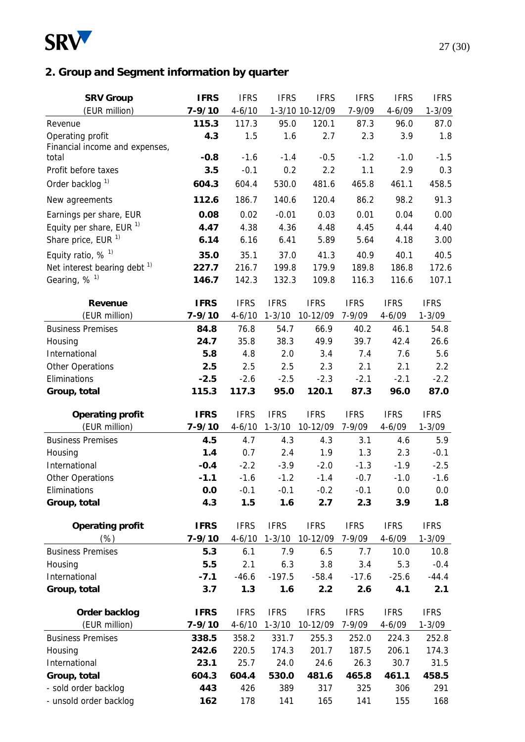

# **2. Group and Segment information by quarter**

| <b>SRV Group</b>                        | <b>IFRS</b> | <b>IFRS</b> | <b>IFRS</b> | <b>IFRS</b>     | <b>IFRS</b> | <b>IFRS</b> | <b>IFRS</b> |
|-----------------------------------------|-------------|-------------|-------------|-----------------|-------------|-------------|-------------|
| (EUR million)                           | $7 - 9/10$  | $4 - 6/10$  |             | 1-3/10 10-12/09 | 7-9/09      | $4 - 6/09$  | $1 - 3/09$  |
| Revenue                                 | 115.3       | 117.3       | 95.0        | 120.1           | 87.3        | 96.0        | 87.0        |
| Operating profit                        | 4.3         | 1.5         | 1.6         | 2.7             | 2.3         | 3.9         | 1.8         |
| Financial income and expenses,          |             |             |             |                 |             |             |             |
| total                                   | $-0.8$      | $-1.6$      | $-1.4$      | $-0.5$          | $-1.2$      | $-1.0$      | $-1.5$      |
| Profit before taxes                     | 3.5         | $-0.1$      | 0.2         | 2.2             | 1.1         | 2.9         | 0.3         |
| Order backlog <sup>1)</sup>             | 604.3       | 604.4       | 530.0       | 481.6           | 465.8       | 461.1       | 458.5       |
| New agreements                          | 112.6       | 186.7       | 140.6       | 120.4           | 86.2        | 98.2        | 91.3        |
| Earnings per share, EUR                 | 0.08        | 0.02        | $-0.01$     | 0.03            | 0.01        | 0.04        | 0.00        |
| Equity per share, EUR $1$               | 4.47        | 4.38        | 4.36        | 4.48            | 4.45        | 4.44        | 4.40        |
| Share price, EUR <sup>1)</sup>          | 6.14        | 6.16        | 6.41        | 5.89            | 5.64        | 4.18        | 3.00        |
| Equity ratio, $%$ <sup>1)</sup>         | 35.0        | 35.1        | 37.0        | 41.3            | 40.9        | 40.1        | 40.5        |
| Net interest bearing debt <sup>1)</sup> | 227.7       | 216.7       | 199.8       | 179.9           | 189.8       | 186.8       | 172.6       |
| Gearing, % <sup>1)</sup>                | 146.7       | 142.3       | 132.3       | 109.8           | 116.3       | 116.6       | 107.1       |
|                                         |             |             |             |                 |             |             |             |
| Revenue                                 | <b>IFRS</b> | <b>IFRS</b> | <b>IFRS</b> | <b>IFRS</b>     | <b>IFRS</b> | <b>IFRS</b> | <b>IFRS</b> |
| (EUR million)                           | $7 - 9/10$  | $4 - 6/10$  | $1 - 3/10$  | 10-12/09        | 7-9/09      | $4 - 6/09$  | $1 - 3/09$  |
| <b>Business Premises</b>                | 84.8        | 76.8        | 54.7        | 66.9            | 40.2        | 46.1        | 54.8        |
| Housing                                 | 24.7        | 35.8        | 38.3        | 49.9            | 39.7        | 42.4        | 26.6        |
| International                           | 5.8         | 4.8         | 2.0         | 3.4             | 7.4         | 7.6         | 5.6         |
| Other Operations                        | 2.5         | 2.5         | 2.5         | 2.3             | 2.1         | 2.1         | 2.2         |
| Eliminations                            | $-2.5$      | $-2.6$      | $-2.5$      | $-2.3$          | $-2.1$      | $-2.1$      | $-2.2$      |
| Group, total                            | 115.3       | 117.3       | 95.0        | 120.1           | 87.3        | 96.0        | 87.0        |
| Operating profit                        | <b>IFRS</b> | <b>IFRS</b> | <b>IFRS</b> | <b>IFRS</b>     | <b>IFRS</b> | <b>IFRS</b> | <b>IFRS</b> |
| (EUR million)                           | $7 - 9/10$  | $4 - 6/10$  | $1 - 3/10$  | 10-12/09        | 7-9/09      | $4 - 6/09$  | $1 - 3/09$  |
| <b>Business Premises</b>                | 4.5         | 4.7         | 4.3         | 4.3             | 3.1         | 4.6         | 5.9         |
| Housing                                 | 1.4         | 0.7         | 2.4         | 1.9             | 1.3         | 2.3         | $-0.1$      |
| International                           | $-0.4$      | $-2.2$      | $-3.9$      | $-2.0$          | $-1.3$      | $-1.9$      | $-2.5$      |
| Other Operations                        | $-1.1$      | $-1.6$      | $-1.2$      | $-1.4$          | $-0.7$      | $-1.0$      | $-1.6$      |
| Eliminations                            | 0.0         | $-0.1$      | $-0.1$      | $-0.2$          | $-0.1$      | 0.0         | $0.0\,$     |
| Group, total                            | 4.3         | 1.5         | 1.6         | 2.7             | 2.3         | 3.9         | 1.8         |
|                                         |             |             |             |                 |             |             |             |
| Operating profit                        | <b>IFRS</b> | <b>IFRS</b> | <b>IFRS</b> | <b>IFRS</b>     | <b>IFRS</b> | <b>IFRS</b> | <b>IFRS</b> |
| $(\%)$                                  | $7 - 9/10$  | $4 - 6/10$  | $1 - 3/10$  | 10-12/09        | 7-9/09      | $4 - 6/09$  | $1 - 3/09$  |
| <b>Business Premises</b>                | 5.3         | 6.1         | 7.9         | 6.5             | 7.7         | 10.0        | 10.8        |
| Housing                                 | 5.5         | 2.1         | 6.3         | 3.8             | 3.4         | 5.3         | $-0.4$      |
| International                           | $-7.1$      | $-46.6$     | $-197.5$    | $-58.4$         | $-17.6$     | $-25.6$     | $-44.4$     |
| Group, total                            | 3.7         | 1.3         | 1.6         | 2.2             | 2.6         | 4.1         | 2.1         |
| Order backlog                           | <b>IFRS</b> | <b>IFRS</b> | <b>IFRS</b> | <b>IFRS</b>     | <b>IFRS</b> | <b>IFRS</b> | <b>IFRS</b> |
| (EUR million)                           | $7 - 9/10$  | $4 - 6/10$  | $1 - 3/10$  | 10-12/09        | 7-9/09      | $4 - 6/09$  | $1 - 3/09$  |
| <b>Business Premises</b>                | 338.5       | 358.2       | 331.7       | 255.3           | 252.0       | 224.3       | 252.8       |
| Housing                                 | 242.6       | 220.5       | 174.3       | 201.7           | 187.5       | 206.1       | 174.3       |
| International                           | 23.1        | 25.7        | 24.0        | 24.6            | 26.3        | 30.7        | 31.5        |
| Group, total                            | 604.3       | 604.4       | 530.0       | 481.6           | 465.8       | 461.1       | 458.5       |
| - sold order backlog                    | 443         | 426         | 389         | 317             | 325         | 306         | 291         |
| - unsold order backlog                  | 162         | 178         | 141         | 165             | 141         | 155         | 168         |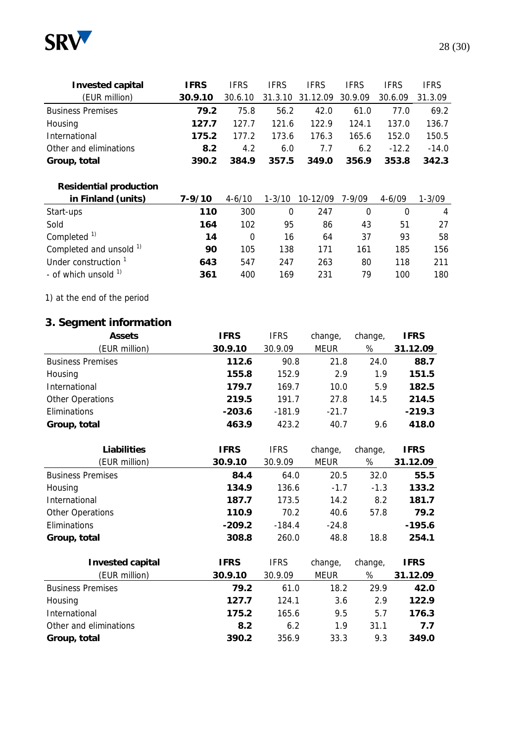

| Invested capital         | <b>IFRS</b> | <b>IFRS</b> | <b>IFRS</b> | <b>IFRS</b> | <b>IFRS</b> | <b>IFRS</b> | <b>IFRS</b> |
|--------------------------|-------------|-------------|-------------|-------------|-------------|-------------|-------------|
| (EUR million)            | 30.9.10     | 30.6.10     | 31.3.10     | 31.12.09    | 30.9.09     | 30.6.09     | 31.3.09     |
| <b>Business Premises</b> | 79.2        | 75.8        | 56.2        | 42.0        | 61.0        | 77.0        | 69.2        |
| Housing                  | 127.7       | 127.7       | 121.6       | 122.9       | 124.1       | 137.0       | 136.7       |
| International            | 175.2       | 177.2       | 173.6       | 176.3       | 165.6       | 152.0       | 150.5       |
| Other and eliminations   | 8.2         | 4.2         | 6.0         | 7.7         | 6.2         | $-12.2$     | $-14.0$     |
| Group, total             | 390.2       | 384.9       | 357.5       | 349.0       | 356.9       | 353.8       | 342.3       |
|                          |             |             |             |             |             |             |             |

## **Residential production**

| in Finland (units)                 | 7-9/10 | $4 - 6/10$ | $1 - 3/10$ | 10-12/09 | $7 - 9/09$ | $4 - 6/09$ | 1-3/09 |
|------------------------------------|--------|------------|------------|----------|------------|------------|--------|
| Start-ups                          | 110    | 300        |            | 247      |            |            | 4      |
| Sold                               | 164    | 102        | 95         | 86       | 43         | 51         | 27     |
| Completed <sup>1)</sup>            | 14     | 0          | 16         | 64       | 37         | 93         | 58     |
| Completed and unsold <sup>1)</sup> | 90     | 105        | 138        | 171      | 161        | 185        | 156    |
| Under construction                 | 643    | 547        | 247        | 263      | 80         | 118        | 211    |
| - of which unsold <sup>1)</sup>    | 361    | 400        | 169        | 231      | 79         | 100        | 180    |

## 1) at the end of the period

# **3. Segment information**

| Assets                   | <b>IFRS</b> | <b>IFRS</b> | change,     | change, | IFRS     |
|--------------------------|-------------|-------------|-------------|---------|----------|
| (EUR million)            | 30.9.10     | 30.9.09     | <b>MEUR</b> | %       | 31.12.09 |
| <b>Business Premises</b> | 112.6       | 90.8        | 21.8        | 24.0    | 88.7     |
| Housing                  | 155.8       | 152.9       | 2.9         | 1.9     | 151.5    |
| International            | 179.7       | 169.7       | 10.0        | 5.9     | 182.5    |
| Other Operations         | 219.5       | 191.7       | 27.8        | 14.5    | 214.5    |
| Eliminations             | $-203.6$    | $-181.9$    | $-21.7$     |         | $-219.3$ |
| Group, total             | 463.9       | 423.2       | 40.7        | 9.6     | 418.0    |

| Liabilities              | <b>IFRS</b> | <b>IFRS</b> | change,     | change, | <b>IFRS</b> |
|--------------------------|-------------|-------------|-------------|---------|-------------|
| (EUR million)            | 30.9.10     | 30.9.09     | <b>MEUR</b> | $\%$    | 31.12.09    |
| <b>Business Premises</b> | 84.4        | 64.0        | 20.5        | 32.0    | 55.5        |
| Housing                  | 134.9       | 136.6       | $-1.7$      | $-1.3$  | 133.2       |
| International            | 187.7       | 173.5       | 14.2        | 8.2     | 181.7       |
| Other Operations         | 110.9       | 70.2        | 40.6        | 57.8    | 79.2        |
| Eliminations             | $-209.2$    | $-184.4$    | $-24.8$     |         | $-195.6$    |
| Group, total             | 308.8       | 260.0       | 48.8        | 18.8    | 254.1       |
|                          |             |             |             |         |             |
| Invested capital         | <b>IFRS</b> | <b>IFRS</b> | change,     | change, | <b>IFRS</b> |
| (EUR million)            | 30.9.10     | 30.9.09     | <b>MEUR</b> | %       | 31.12.09    |
| <b>Business Premises</b> | 79.2        | 61.0        | 18.2        | 29.9    | 42.0        |
| Housing                  | 127.7       | 124.1       | 3.6         | 2.9     | 122.9       |
| International            | 175.2       | 165.6       | 9.5         | 5.7     | 176.3       |
| Other and eliminations   | 8.2         | 6.2         | 1.9         | 31.1    | 7.7         |
| Group, total             | 390.2       | 356.9       | 33.3        | 9.3     | 349.0       |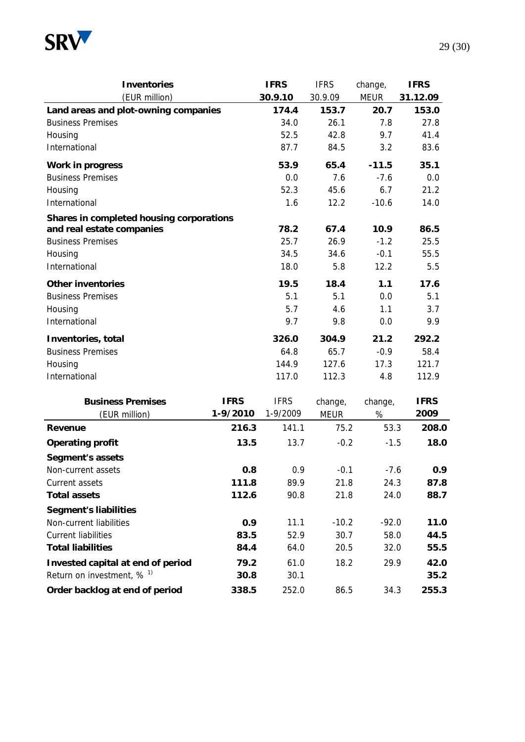

| Inventories                              |             | <b>IFRS</b> | <b>IFRS</b> | change,     | <b>IFRS</b> |
|------------------------------------------|-------------|-------------|-------------|-------------|-------------|
| (EUR million)                            |             | 30.9.10     | 30.9.09     | <b>MEUR</b> | 31.12.09    |
| Land areas and plot-owning companies     |             | 174.4       | 153.7       | 20.7        | 153.0       |
| <b>Business Premises</b>                 |             | 34.0        | 26.1        | 7.8         | 27.8        |
| Housing                                  |             | 52.5        | 42.8        | 9.7         | 41.4        |
| International                            |             | 87.7        | 84.5        | 3.2         | 83.6        |
| Work in progress                         |             | 53.9        | 65.4        | $-11.5$     | 35.1        |
| <b>Business Premises</b>                 |             | 0.0         | 7.6         | $-7.6$      | 0.0         |
| Housing                                  |             | 52.3        | 45.6        | 6.7         | 21.2        |
| International                            |             | 1.6         | 12.2        | $-10.6$     | 14.0        |
| Shares in completed housing corporations |             |             |             |             |             |
| and real estate companies                |             | 78.2        | 67.4        | 10.9        | 86.5        |
| <b>Business Premises</b>                 |             | 25.7        | 26.9        | $-1.2$      | 25.5        |
| Housing                                  |             | 34.5        | 34.6        | $-0.1$      | 55.5        |
| International                            |             | 18.0        | 5.8         | 12.2        | 5.5         |
| Other inventories                        |             | 19.5        | 18.4        | 1.1         | 17.6        |
| <b>Business Premises</b>                 |             | 5.1         | 5.1         | 0.0         | 5.1         |
| Housing                                  |             | 5.7         | 4.6         | 1.1         | 3.7         |
| International                            |             | 9.7         | 9.8         | 0.0         | 9.9         |
| Inventories, total                       |             | 326.0       | 304.9       | 21.2        | 292.2       |
| <b>Business Premises</b>                 |             | 64.8        | 65.7        | $-0.9$      | 58.4        |
| Housing                                  |             | 144.9       | 127.6       | 17.3        | 121.7       |
| International                            |             | 117.0       | 112.3       | 4.8         | 112.9       |
| <b>Business Premises</b>                 | <b>IFRS</b> | <b>IFRS</b> | change,     | change,     | <b>IFRS</b> |
| (EUR million)                            | 1-9/2010    | 1-9/2009    | <b>MEUR</b> | %           | 2009        |
| Revenue                                  | 216.3       | 141.1       | 75.2        | 53.3        | 208.0       |
| Operating profit                         | 13.5        | 13.7        | $-0.2$      | $-1.5$      | 18.0        |
| Segment's assets                         |             |             |             |             |             |
| Non-current assets                       | 0.8         | 0.9         | $-0.1$      | $-7.6$      | 0.9         |
| Current assets                           | 111.8       | 89.9        | 21.8        | 24.3        | 87.8        |
| Total assets                             | 112.6       | 90.8        | 21.8        | 24.0        | 88.7        |
| Segment's liabilities                    |             |             |             |             |             |
| Non-current liabilities                  | 0.9         | 11.1        | $-10.2$     | $-92.0$     | 11.0        |
| <b>Current liabilities</b>               | 83.5        | 52.9        | 30.7        | 58.0        | 44.5        |
| <b>Total liabilities</b>                 | 84.4        | 64.0        | 20.5        | 32.0        | 55.5        |
| Invested capital at end of period        | 79.2        | 61.0        | 18.2        | 29.9        | 42.0        |
| Return on investment, $%$ <sup>1)</sup>  | 30.8        | 30.1        |             |             | 35.2        |
| Order backlog at end of period           | 338.5       | 252.0       | 86.5        | 34.3        | 255.3       |